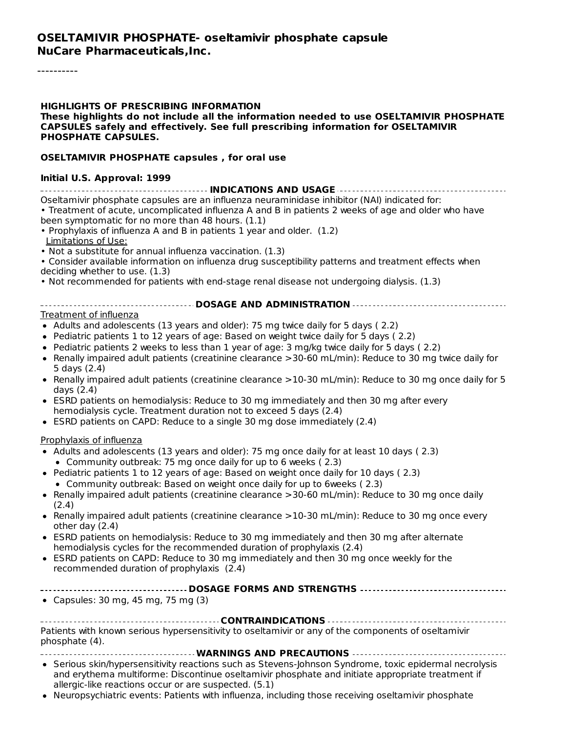----------

#### **HIGHLIGHTS OF PRESCRIBING INFORMATION**

#### **These highlights do not include all the information needed to use OSELTAMIVIR PHOSPHATE CAPSULES safely and effectively. See full prescribing information for OSELTAMIVIR PHOSPHATE CAPSULES.**

#### **OSELTAMIVIR PHOSPHATE capsules , for oral use**

#### **Initial U.S. Approval: 1999**

| Oseltamivir phosphate capsules are an influenza neuraminidase inhibitor (NAI) indicated for:        |
|-----------------------------------------------------------------------------------------------------|
| • Treatment of acute, uncomplicated influenza A and B in patients 2 weeks of age and older who have |
| been symptomatic for no more than 48 hours. (1.1)                                                   |
|                                                                                                     |

- Prophylaxis of influenza A and B in patients 1 year and older. (1.2) Limitations of Use:
- Not a substitute for annual influenza vaccination. (1.3)
- Consider available information on influenza drug susceptibility patterns and treatment effects when
- deciding whether to use. (1.3)
- Not recommended for patients with end-stage renal disease not undergoing dialysis. (1.3)

#### **DOSAGE AND ADMINISTRATION**

#### Treatment of influenza

- Adults and adolescents (13 years and older): 75 mg twice daily for 5 days (2.2)
- Pediatric patients 1 to 12 years of age: Based on weight twice daily for 5 days ( 2.2)
- Pediatric patients 2 weeks to less than 1 year of age: 3 mg/kg twice daily for 5 days ( 2.2)
- Renally impaired adult patients (creatinine clearance >30-60 mL/min): Reduce to 30 mg twice daily for 5 days (2.4)
- Renally impaired adult patients (creatinine clearance  $>10-30$  mL/min): Reduce to 30 mg once daily for 5 days (2.4)
- ESRD patients on hemodialysis: Reduce to 30 mg immediately and then 30 mg after every  $\bullet$ hemodialysis cycle. Treatment duration not to exceed 5 days (2.4)
- ESRD patients on CAPD: Reduce to a single 30 mg dose immediately (2.4)

#### Prophylaxis of influenza

- Adults and adolescents (13 years and older): 75 mg once daily for at least 10 days (2.3)
	- Community outbreak: 75 mg once daily for up to 6 weeks ( 2.3)
- Pediatric patients 1 to 12 years of age: Based on weight once daily for 10 days ( 2.3) Community outbreak: Based on weight once daily for up to 6weeks ( 2.3)
- Renally impaired adult patients (creatinine clearance >30-60 mL/min): Reduce to 30 mg once daily (2.4)
- Renally impaired adult patients (creatinine clearance >10-30 mL/min): Reduce to 30 mg once every other day (2.4)
- ESRD patients on hemodialysis: Reduce to 30 mg immediately and then 30 mg after alternate  $\bullet$ hemodialysis cycles for the recommended duration of prophylaxis (2.4)
- ESRD patients on CAPD: Reduce to 30 mg immediately and then 30 mg once weekly for the recommended duration of prophylaxis (2.4)

#### **DOSAGE FORMS AND STRENGTHS**

• Capsules:  $30 \text{ mg}$ ,  $45 \text{ mg}$ ,  $75 \text{ mg}$   $(3)$ 

| Patients with known serious hypersensitivity to oseltamivir or any of the components of oseltamivir |
|-----------------------------------------------------------------------------------------------------|
| phosphate (4).                                                                                      |

- **WARNINGS AND PRECAUTIONS**
- Serious skin/hypersensitivity reactions such as Stevens-Johnson Syndrome, toxic epidermal necrolysis and erythema multiforme: Discontinue oseltamivir phosphate and initiate appropriate treatment if allergic-like reactions occur or are suspected. (5.1)
- Neuropsychiatric events: Patients with influenza, including those receiving oseltamivir phosphate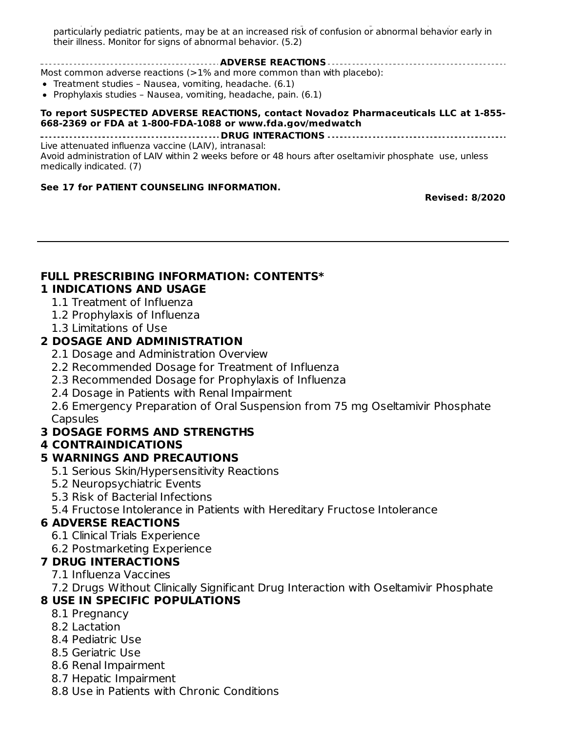Neuropsychiatric events: Patients with influenza, including those receiving oseltamivir phosphate particularly pediatric patients, may be at an increased risk of confusion or abnormal behavior early in their illness. Monitor for signs of abnormal behavior. (5.2)

**ADVERSE REACTIONS** Most common adverse reactions (>1% and more common than with placebo):

- Treatment studies Nausea, vomiting, headache. (6.1)
- Prophylaxis studies Nausea, vomiting, headache, pain.  $(6.1)$

#### **To report SUSPECTED ADVERSE REACTIONS, contact Novadoz Pharmaceuticals LLC at 1-855- 668-2369 or FDA at 1-800-FDA-1088 or www.fda.gov/medwatch**

**DRUG INTERACTIONS** Live attenuated influenza vaccine (LAIV), intranasal: Avoid administration of LAIV within 2 weeks before or 48 hours after oseltamivir phosphate use, unless medically indicated. (7)

#### **See 17 for PATIENT COUNSELING INFORMATION.**

**Revised: 8/2020**

#### **FULL PRESCRIBING INFORMATION: CONTENTS\* 1 INDICATIONS AND USAGE**

- 1.1 Treatment of Influenza
	- 1.2 Prophylaxis of Influenza
	- 1.3 Limitations of Use

#### **2 DOSAGE AND ADMINISTRATION**

- 2.1 Dosage and Administration Overview
- 2.2 Recommended Dosage for Treatment of Influenza
- 2.3 Recommended Dosage for Prophylaxis of Influenza
- 2.4 Dosage in Patients with Renal Impairment

2.6 Emergency Preparation of Oral Suspension from 75 mg Oseltamivir Phosphate **Capsules** 

#### **3 DOSAGE FORMS AND STRENGTHS**

#### **4 CONTRAINDICATIONS**

#### **5 WARNINGS AND PRECAUTIONS**

- 5.1 Serious Skin/Hypersensitivity Reactions
- 5.2 Neuropsychiatric Events
- 5.3 Risk of Bacterial Infections
- 5.4 Fructose Intolerance in Patients with Hereditary Fructose Intolerance

#### **6 ADVERSE REACTIONS**

- 6.1 Clinical Trials Experience
- 6.2 Postmarketing Experience

#### **7 DRUG INTERACTIONS**

- 7.1 Influenza Vaccines
- 7.2 Drugs Without Clinically Significant Drug Interaction with Oseltamivir Phosphate

#### **8 USE IN SPECIFIC POPULATIONS**

- 8.1 Pregnancy
- 8.2 Lactation
- 8.4 Pediatric Use
- 8.5 Geriatric Use
- 8.6 Renal Impairment
- 8.7 Hepatic Impairment
- 8.8 Use in Patients with Chronic Conditions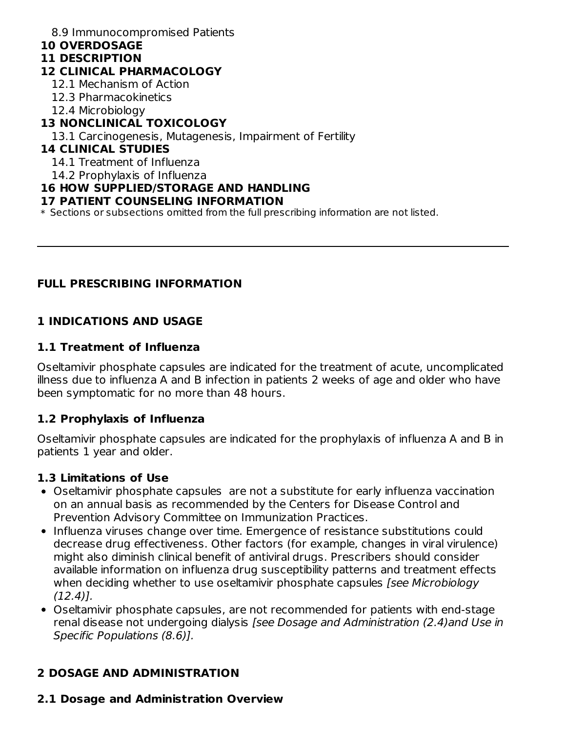#### 8.9 Immunocompromised Patients

#### **10 OVERDOSAGE**

#### **11 DESCRIPTION**

### **12 CLINICAL PHARMACOLOGY**

- 12.1 Mechanism of Action
- 12.3 Pharmacokinetics
- 12.4 Microbiology

#### **13 NONCLINICAL TOXICOLOGY**

13.1 Carcinogenesis, Mutagenesis, Impairment of Fertility

#### **14 CLINICAL STUDIES**

14.1 Treatment of Influenza

14.2 Prophylaxis of Influenza

### **16 HOW SUPPLIED/STORAGE AND HANDLING**

#### **17 PATIENT COUNSELING INFORMATION**

 $\ast$  Sections or subsections omitted from the full prescribing information are not listed.

## **FULL PRESCRIBING INFORMATION**

## **1 INDICATIONS AND USAGE**

#### **1.1 Treatment of Influenza**

Oseltamivir phosphate capsules are indicated for the treatment of acute, uncomplicated illness due to influenza A and B infection in patients 2 weeks of age and older who have been symptomatic for no more than 48 hours.

## **1.2 Prophylaxis of Influenza**

Oseltamivir phosphate capsules are indicated for the prophylaxis of influenza A and B in patients 1 year and older.

#### **1.3 Limitations of Use**

- Oseltamivir phosphate capsules are not a substitute for early influenza vaccination on an annual basis as recommended by the Centers for Disease Control and Prevention Advisory Committee on Immunization Practices.
- Influenza viruses change over time. Emergence of resistance substitutions could decrease drug effectiveness. Other factors (for example, changes in viral virulence) might also diminish clinical benefit of antiviral drugs. Prescribers should consider available information on influenza drug susceptibility patterns and treatment effects when deciding whether to use oseltamivir phosphate capsules *[see Microbiology* (12.4)].
- Oseltamivir phosphate capsules, are not recommended for patients with end-stage renal disease not undergoing dialysis [see Dosage and Administration (2.4)and Use in Specific Populations (8.6)].

## **2 DOSAGE AND ADMINISTRATION**

## **2.1 Dosage and Administration Overview**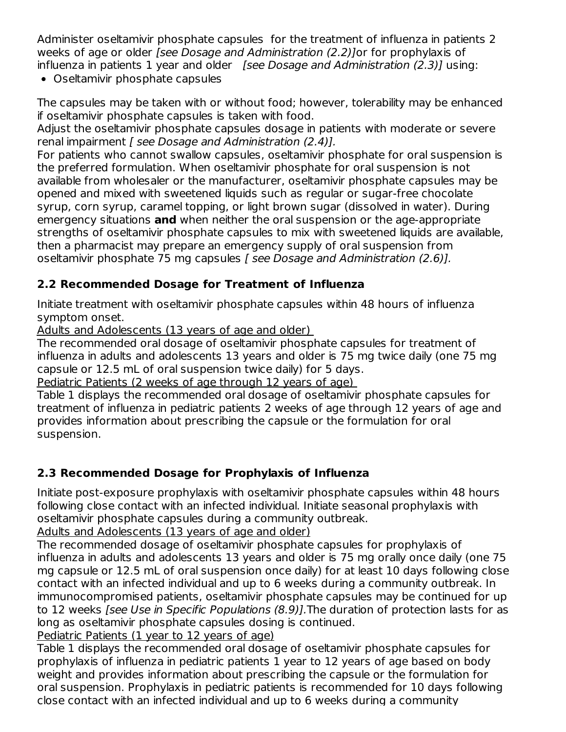Administer oseltamivir phosphate capsules for the treatment of influenza in patients 2 weeks of age or older [see Dosage and Administration (2.2)]or for prophylaxis of influenza in patients 1 year and older *[see Dosage and Administration (2.3)]* using:

• Oseltamivir phosphate capsules

The capsules may be taken with or without food; however, tolerability may be enhanced if oseltamivir phosphate capsules is taken with food.

Adjust the oseltamivir phosphate capsules dosage in patients with moderate or severe renal impairment [ see Dosage and Administration (2.4)].

For patients who cannot swallow capsules, oseltamivir phosphate for oral suspension is the preferred formulation. When oseltamivir phosphate for oral suspension is not available from wholesaler or the manufacturer, oseltamivir phosphate capsules may be opened and mixed with sweetened liquids such as regular or sugar-free chocolate syrup, corn syrup, caramel topping, or light brown sugar (dissolved in water). During emergency situations **and** when neither the oral suspension or the age-appropriate strengths of oseltamivir phosphate capsules to mix with sweetened liquids are available, then a pharmacist may prepare an emergency supply of oral suspension from oseltamivir phosphate 75 mg capsules [ see Dosage and Administration (2.6)].

## **2.2 Recommended Dosage for Treatment of Influenza**

Initiate treatment with oseltamivir phosphate capsules within 48 hours of influenza symptom onset.

Adults and Adolescents (13 years of age and older)

The recommended oral dosage of oseltamivir phosphate capsules for treatment of influenza in adults and adolescents 13 years and older is 75 mg twice daily (one 75 mg capsule or 12.5 mL of oral suspension twice daily) for 5 days.

Pediatric Patients (2 weeks of age through 12 years of age)

Table 1 displays the recommended oral dosage of oseltamivir phosphate capsules for treatment of influenza in pediatric patients 2 weeks of age through 12 years of age and provides information about prescribing the capsule or the formulation for oral suspension.

## **2.3 Recommended Dosage for Prophylaxis of Influenza**

Initiate post-exposure prophylaxis with oseltamivir phosphate capsules within 48 hours following close contact with an infected individual. Initiate seasonal prophylaxis with oseltamivir phosphate capsules during a community outbreak.

Adults and Adolescents (13 years of age and older)

The recommended dosage of oseltamivir phosphate capsules for prophylaxis of influenza in adults and adolescents 13 years and older is 75 mg orally once daily (one 75 mg capsule or 12.5 mL of oral suspension once daily) for at least 10 days following close contact with an infected individual and up to 6 weeks during a community outbreak. In immunocompromised patients, oseltamivir phosphate capsules may be continued for up to 12 weeks [see Use in Specific Populations (8.9)].The duration of protection lasts for as long as oseltamivir phosphate capsules dosing is continued.

Pediatric Patients (1 year to 12 years of age)

Table 1 displays the recommended oral dosage of oseltamivir phosphate capsules for prophylaxis of influenza in pediatric patients 1 year to 12 years of age based on body weight and provides information about prescribing the capsule or the formulation for oral suspension. Prophylaxis in pediatric patients is recommended for 10 days following close contact with an infected individual and up to 6 weeks during a community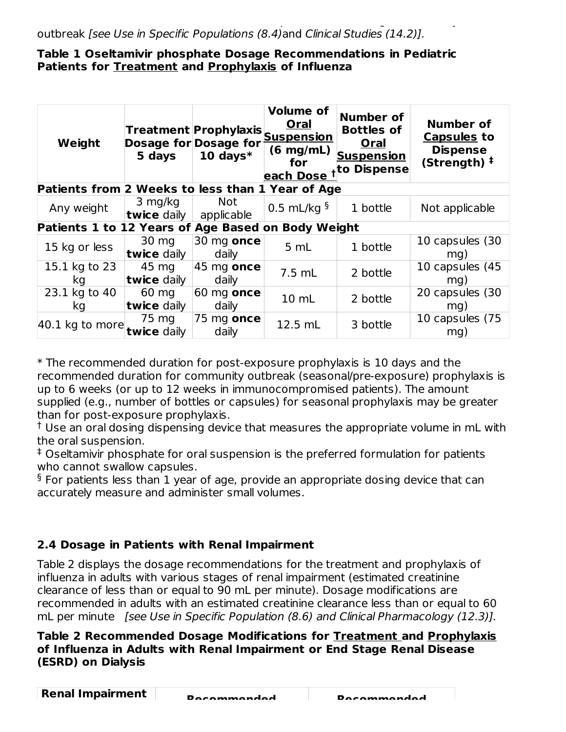#### **Table 1 Oseltamivir phosphate Dosage Recommendations in Pediatric Patients for Treatment and Prophylaxis of Influenza**

| Weight                                             | 5 days                         | Treatment Prophylaxis<br><b>Dosage for Dosage for</b><br>10 days $*$ | <b>Volume of</b><br>Oral<br><b>Suspension</b><br>$(6 \text{ mg/mL})$<br>for<br>each Dose | <b>Number of</b><br><b>Bottles of</b><br><b>Oral</b><br><b>Suspension</b><br>to Dispense | <b>Number of</b><br><b>Capsules to</b><br><b>Dispense</b><br>(Strength) $‡$ |
|----------------------------------------------------|--------------------------------|----------------------------------------------------------------------|------------------------------------------------------------------------------------------|------------------------------------------------------------------------------------------|-----------------------------------------------------------------------------|
| Patients from 2 Weeks to less than 1 Year of Age   |                                |                                                                      |                                                                                          |                                                                                          |                                                                             |
| Any weight                                         | 3 mg/kg<br><b>twice</b> daily  | <b>Not</b><br>applicable                                             | 0.5 mL/kg $\frac{5}{3}$                                                                  | 1 bottle                                                                                 | Not applicable                                                              |
| Patients 1 to 12 Years of Age Based on Body Weight |                                |                                                                      |                                                                                          |                                                                                          |                                                                             |
| 15 kg or less                                      | $30 \text{ mg}$<br>twice daily | 30 mg once<br>daily                                                  | 5 mL                                                                                     | 1 bottle                                                                                 | 10 capsules (30<br>mg)                                                      |
| 15.1 kg to 23<br>kg                                | 45 mg<br>twice daily           | $45 \text{ mg}$ once<br>daily                                        | $7.5$ mL                                                                                 | 2 bottle                                                                                 | 10 capsules (45<br>mg)                                                      |
| 23.1 kg to 40<br>kg                                | 60 mg<br>twice daily           | 60<br>mg once<br>daily                                               | 10 mL                                                                                    | 2 bottle                                                                                 | 20 capsules (30<br>$mq$ )                                                   |
| 40.1 kg to more                                    | 75 mg<br>twice daily           | 75<br>mg once<br>daily                                               | 12.5 mL                                                                                  | 3 bottle                                                                                 | 10 capsules (75)<br>mg)                                                     |

\* The recommended duration for post-exposure prophylaxis is 10 days and the recommended duration for community outbreak (seasonal/pre-exposure) prophylaxis is up to 6 weeks (or up to 12 weeks in immunocompromised patients). The amount supplied (e.g., number of bottles or capsules) for seasonal prophylaxis may be greater than for post-exposure prophylaxis.

 $^\dagger$  Use an oral dosing dispensing device that measures the appropriate volume in mL with the oral suspension.

Oseltamivir phosphate for oral suspension is the preferred formulation for patients ‡ who cannot swallow capsules.

 $\delta$  For patients less than 1 year of age, provide an appropriate dosing device that can accurately measure and administer small volumes.

## **2.4 Dosage in Patients with Renal Impairment**

Table 2 displays the dosage recommendations for the treatment and prophylaxis of influenza in adults with various stages of renal impairment (estimated creatinine clearance of less than or equal to 90 mL per minute). Dosage modifications are recommended in adults with an estimated creatinine clearance less than or equal to 60 mL per minute [see Use in Specific Population (8.6) and Clinical Pharmacology (12.3)].

### **Table 2 Recommended Dosage Modifications for Treatment and Prophylaxis of Influenza in Adults with Renal Impairment or End Stage Renal Disease (ESRD) on Dialysis**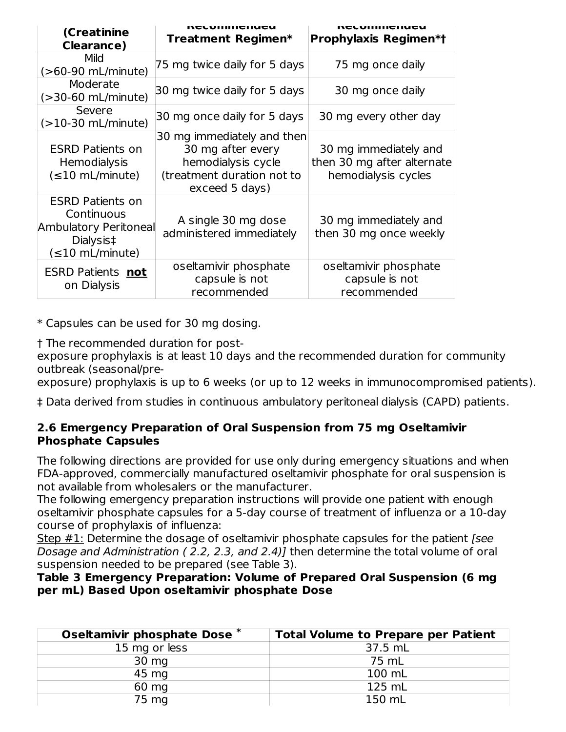| (Creatinine<br><b>Clearance</b> )                                                                    | UCLAININGINGA<br>Treatment Regimen*                                                                                   | craillilleinea<br><b>Prophylaxis Regimen*t</b>                             |
|------------------------------------------------------------------------------------------------------|-----------------------------------------------------------------------------------------------------------------------|----------------------------------------------------------------------------|
| <b>Mild</b><br>(>60-90 mL/minute)                                                                    | 75 mg twice daily for 5 days                                                                                          | 75 mg once daily                                                           |
| Moderate<br>$($ >30-60 mL/minute)                                                                    | 30 mg twice daily for 5 days                                                                                          | 30 mg once daily                                                           |
| Severe<br>$(>10-30$ mL/minute)                                                                       | 30 mg once daily for 5 days                                                                                           | 30 mg every other day                                                      |
| <b>ESRD Patients on</b><br>Hemodialysis<br>$(\leq 10$ mL/minute)                                     | 30 mg immediately and then<br>30 mg after every<br>hemodialysis cycle<br>(treatment duration not to<br>exceed 5 days) | 30 mg immediately and<br>then 30 mg after alternate<br>hemodialysis cycles |
| <b>ESRD Patients on</b><br>Continuous<br>Ambulatory Peritoneal<br>Dialysis‡<br>$(\leq 10$ mL/minute) | A single 30 mg dose<br>administered immediately                                                                       | 30 mg immediately and<br>then 30 mg once weekly                            |
| <b>ESRD Patients not</b><br>on Dialysis                                                              | oseltamivir phosphate<br>capsule is not<br>recommended                                                                | oseltamivir phosphate<br>capsule is not<br>recommended                     |

\* Capsules can be used for 30 mg dosing.

† The recommended duration for post-

exposure prophylaxis is at least 10 days and the recommended duration for community outbreak (seasonal/pre-

exposure) prophylaxis is up to 6 weeks (or up to 12 weeks in immunocompromised patients).

‡ Data derived from studies in continuous ambulatory peritoneal dialysis (CAPD) patients.

## **2.6 Emergency Preparation of Oral Suspension from 75 mg Oseltamivir Phosphate Capsules**

The following directions are provided for use only during emergency situations and when FDA-approved, commercially manufactured oseltamivir phosphate for oral suspension is not available from wholesalers or the manufacturer.

The following emergency preparation instructions will provide one patient with enough oseltamivir phosphate capsules for a 5-day course of treatment of influenza or a 10-day course of prophylaxis of influenza:

Step  $#1$ : Determine the dosage of oseltamivir phosphate capsules for the patient [see Dosage and Administration (2.2, 2.3, and 2.4)] then determine the total volume of oral suspension needed to be prepared (see Table 3).

#### **Table 3 Emergency Preparation: Volume of Prepared Oral Suspension (6 mg per mL) Based Upon oseltamivir phosphate Dose**

| Oseltamivir phosphate Dose * | <b>Total Volume to Prepare per Patient</b> |
|------------------------------|--------------------------------------------|
| 15 mg or less                | 37.5 mL                                    |
| 30 mg                        | 75 mL                                      |
| 45 mg                        | 100 mL                                     |
| 60 mg                        | 125 mL                                     |
| 75 mg                        | 150 mL                                     |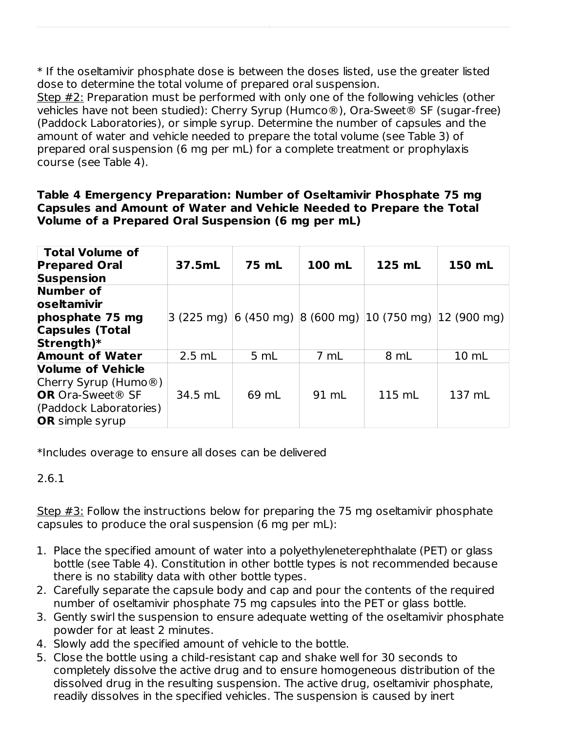\* If the oseltamivir phosphate dose is between the doses listed, use the greater listed dose to determine the total volume of prepared oral suspension.

Step #2: Preparation must be performed with only one of the following vehicles (other vehicles have not been studied): Cherry Syrup (Humco®), Ora-Sweet® SF (sugar-free) (Paddock Laboratories), or simple syrup. Determine the number of capsules and the amount of water and vehicle needed to prepare the total volume (see Table 3) of prepared oral suspension (6 mg per mL) for a complete treatment or prophylaxis course (see Table 4).

#### **Table 4 Emergency Preparation: Number of Oseltamivir Phosphate 75 mg Capsules and Amount of Water and Vehicle Needed to Prepare the Total Volume of a Prepared Oral Suspension (6 mg per mL)**

| Total Volume of<br><b>Prepared Oral</b><br><b>Suspension</b> | 37.5mL   | 75 mL | 100 mL | 125 mL                                                                                                           | 150 mL           |
|--------------------------------------------------------------|----------|-------|--------|------------------------------------------------------------------------------------------------------------------|------------------|
| Number of<br>oseltamivir                                     |          |       |        |                                                                                                                  |                  |
| phosphate 75 mg                                              |          |       |        | 3 (225 mg) $\vert 6 \vert$ (450 mg) $\vert 8 \vert$ (600 mg) $\vert 10 \vert$ (750 mg) $\vert 12 \vert$ (900 mg) |                  |
| <b>Capsules (Total</b>                                       |          |       |        |                                                                                                                  |                  |
| Strength)*                                                   |          |       |        |                                                                                                                  |                  |
| <b>Amount of Water</b>                                       | $2.5$ mL | 5 mL  | 7 mL   | 8 mL                                                                                                             | $10 \, \text{m}$ |
| <b>Volume of Vehicle</b>                                     |          |       |        |                                                                                                                  |                  |
| Cherry Syrup (Humo $\circledR$ )                             |          |       |        |                                                                                                                  |                  |
| <b>OR</b> Ora-Sweet <sup>®</sup> SF                          | 34.5 mL  | 69 mL | 91 mL  | 115 mL                                                                                                           | 137 mL           |
| (Paddock Laboratories)                                       |          |       |        |                                                                                                                  |                  |
| <b>OR</b> simple syrup                                       |          |       |        |                                                                                                                  |                  |

\*Includes overage to ensure all doses can be delivered

2.6.1

Step #3: Follow the instructions below for preparing the 75 mg oseltamivir phosphate capsules to produce the oral suspension (6 mg per mL):

- 1. Place the specified amount of water into a polyethyleneterephthalate (PET) or glass bottle (see Table 4). Constitution in other bottle types is not recommended because there is no stability data with other bottle types.
- 2. Carefully separate the capsule body and cap and pour the contents of the required number of oseltamivir phosphate 75 mg capsules into the PET or glass bottle.
- 3. Gently swirl the suspension to ensure adequate wetting of the oseltamivir phosphate powder for at least 2 minutes.
- 4. Slowly add the specified amount of vehicle to the bottle.
- 5. Close the bottle using a child-resistant cap and shake well for 30 seconds to completely dissolve the active drug and to ensure homogeneous distribution of the dissolved drug in the resulting suspension. The active drug, oseltamivir phosphate, readily dissolves in the specified vehicles. The suspension is caused by inert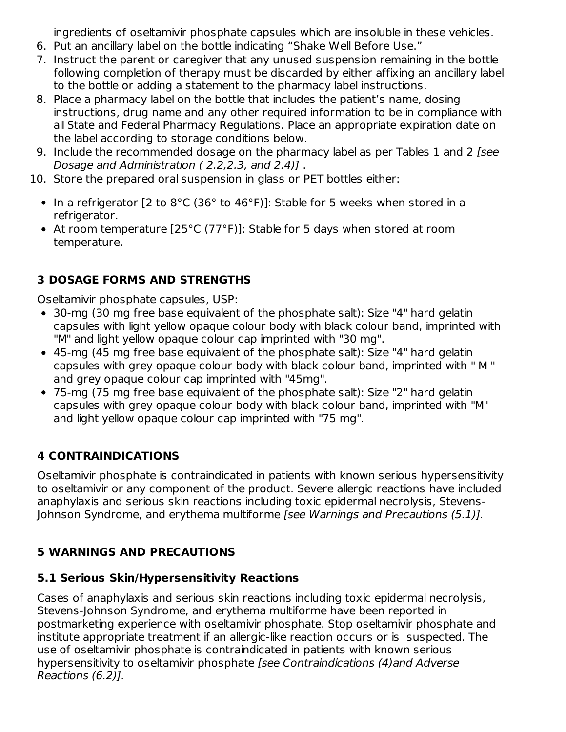ingredients of oseltamivir phosphate capsules which are insoluble in these vehicles.

- 6. Put an ancillary label on the bottle indicating "Shake Well Before Use."
- 7. Instruct the parent or caregiver that any unused suspension remaining in the bottle following completion of therapy must be discarded by either affixing an ancillary label to the bottle or adding a statement to the pharmacy label instructions.
- 8. Place a pharmacy label on the bottle that includes the patient's name, dosing instructions, drug name and any other required information to be in compliance with all State and Federal Pharmacy Regulations. Place an appropriate expiration date on the label according to storage conditions below.
- 9. Include the recommended dosage on the pharmacy label as per Tables 1 and 2 [see Dosage and Administration ( 2.2,2.3, and 2.4)] .
- 10. Store the prepared oral suspension in glass or PET bottles either:
	- In a refrigerator [2 to 8°C (36° to 46°F)]: Stable for 5 weeks when stored in a refrigerator.
	- At room temperature [25°C (77°F)]: Stable for 5 days when stored at room temperature.

# **3 DOSAGE FORMS AND STRENGTHS**

Oseltamivir phosphate capsules, USP:

- 30-mg (30 mg free base equivalent of the phosphate salt): Size "4" hard gelatin capsules with light yellow opaque colour body with black colour band, imprinted with "M" and light yellow opaque colour cap imprinted with "30 mg".
- 45-mg (45 mg free base equivalent of the phosphate salt): Size "4" hard gelatin capsules with grey opaque colour body with black colour band, imprinted with '' M " and grey opaque colour cap imprinted with "45mg".
- 75-mg (75 mg free base equivalent of the phosphate salt): Size "2" hard gelatin capsules with grey opaque colour body with black colour band, imprinted with "M" and light yellow opaque colour cap imprinted with "75 mg".

## **4 CONTRAINDICATIONS**

Oseltamivir phosphate is contraindicated in patients with known serious hypersensitivity to oseltamivir or any component of the product. Severe allergic reactions have included anaphylaxis and serious skin reactions including toxic epidermal necrolysis, Stevens-Johnson Syndrome, and erythema multiforme [see Warnings and Precautions (5.1)].

## **5 WARNINGS AND PRECAUTIONS**

## **5.1 Serious Skin/Hypersensitivity Reactions**

Cases of anaphylaxis and serious skin reactions including toxic epidermal necrolysis, Stevens-Johnson Syndrome, and erythema multiforme have been reported in postmarketing experience with oseltamivir phosphate. Stop oseltamivir phosphate and institute appropriate treatment if an allergic-like reaction occurs or is suspected. The use of oseltamivir phosphate is contraindicated in patients with known serious hypersensitivity to oseltamivir phosphate [see Contraindications (4)and Adverse Reactions (6.2)].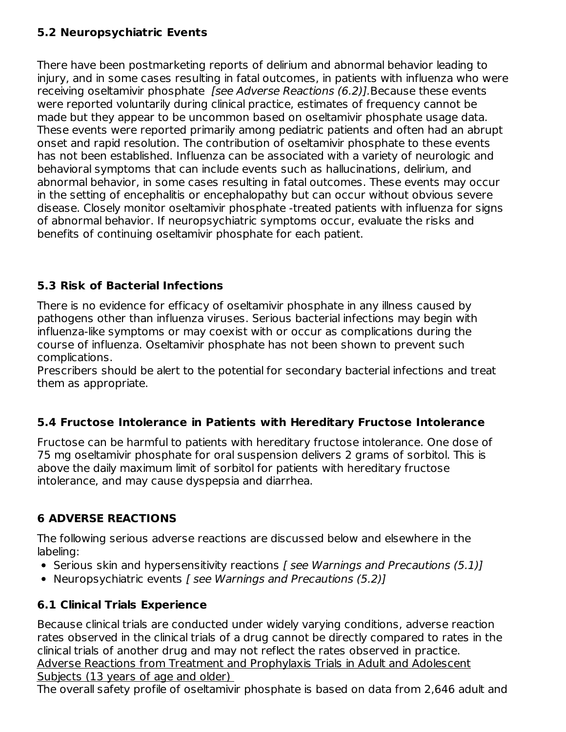## **5.2 Neuropsychiatric Events**

There have been postmarketing reports of delirium and abnormal behavior leading to injury, and in some cases resulting in fatal outcomes, in patients with influenza who were receiving oseltamivir phosphate [see Adverse Reactions (6.2)]. Because these events were reported voluntarily during clinical practice, estimates of frequency cannot be made but they appear to be uncommon based on oseltamivir phosphate usage data. These events were reported primarily among pediatric patients and often had an abrupt onset and rapid resolution. The contribution of oseltamivir phosphate to these events has not been established. Influenza can be associated with a variety of neurologic and behavioral symptoms that can include events such as hallucinations, delirium, and abnormal behavior, in some cases resulting in fatal outcomes. These events may occur in the setting of encephalitis or encephalopathy but can occur without obvious severe disease. Closely monitor oseltamivir phosphate -treated patients with influenza for signs of abnormal behavior. If neuropsychiatric symptoms occur, evaluate the risks and benefits of continuing oseltamivir phosphate for each patient.

## **5.3 Risk of Bacterial Infections**

There is no evidence for efficacy of oseltamivir phosphate in any illness caused by pathogens other than influenza viruses. Serious bacterial infections may begin with influenza-like symptoms or may coexist with or occur as complications during the course of influenza. Oseltamivir phosphate has not been shown to prevent such complications.

Prescribers should be alert to the potential for secondary bacterial infections and treat them as appropriate.

## **5.4 Fructose Intolerance in Patients with Hereditary Fructose Intolerance**

Fructose can be harmful to patients with hereditary fructose intolerance. One dose of 75 mg oseltamivir phosphate for oral suspension delivers 2 grams of sorbitol. This is above the daily maximum limit of sorbitol for patients with hereditary fructose intolerance, and may cause dyspepsia and diarrhea.

## **6 ADVERSE REACTIONS**

The following serious adverse reactions are discussed below and elsewhere in the labeling:

- Serious skin and hypersensitivity reactions [ see Warnings and Precautions (5.1)]
- Neuropsychiatric events [ see Warnings and Precautions (5.2)]

## **6.1 Clinical Trials Experience**

Because clinical trials are conducted under widely varying conditions, adverse reaction rates observed in the clinical trials of a drug cannot be directly compared to rates in the clinical trials of another drug and may not reflect the rates observed in practice. Adverse Reactions from Treatment and Prophylaxis Trials in Adult and Adolescent Subjects (13 years of age and older)

The overall safety profile of oseltamivir phosphate is based on data from 2,646 adult and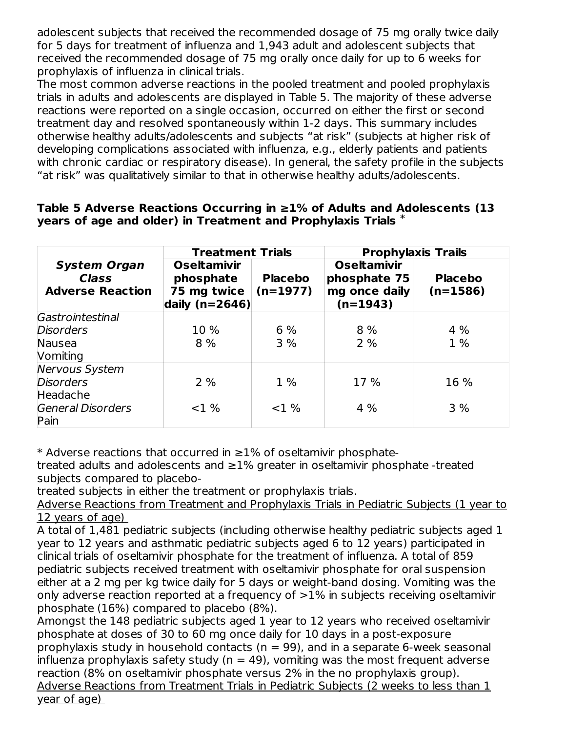adolescent subjects that received the recommended dosage of 75 mg orally twice daily for 5 days for treatment of influenza and 1,943 adult and adolescent subjects that received the recommended dosage of 75 mg orally once daily for up to 6 weeks for prophylaxis of influenza in clinical trials.

The most common adverse reactions in the pooled treatment and pooled prophylaxis trials in adults and adolescents are displayed in Table 5. The majority of these adverse reactions were reported on a single occasion, occurred on either the first or second treatment day and resolved spontaneously within 1-2 days. This summary includes otherwise healthy adults/adolescents and subjects "at risk" (subjects at higher risk of developing complications associated with influenza, e.g., elderly patients and patients with chronic cardiac or respiratory disease). In general, the safety profile in the subjects "at risk" was qualitatively similar to that in otherwise healthy adults/adolescents.

|                                                                | <b>Treatment Trials</b>                                              |                              | <b>Prophylaxis Trails</b>                                         |                              |  |
|----------------------------------------------------------------|----------------------------------------------------------------------|------------------------------|-------------------------------------------------------------------|------------------------------|--|
| <b>System Organ</b><br><b>Class</b><br><b>Adverse Reaction</b> | <b>Oseltamivir</b><br>phosphate<br>75 mg twice<br>daily ( $n=2646$ ) | <b>Placebo</b><br>$(n=1977)$ | <b>Oseltamivir</b><br>phosphate 75<br>mg once daily<br>$(n=1943)$ | <b>Placebo</b><br>$(n=1586)$ |  |
| Gastrointestinal                                               |                                                                      |                              |                                                                   |                              |  |
| <b>Disorders</b>                                               | 10 %                                                                 | 6 %                          | 8%                                                                | 4%                           |  |
| Nausea                                                         | 8%                                                                   | 3%                           | 2%                                                                | $1\%$                        |  |
| Vomiting                                                       |                                                                      |                              |                                                                   |                              |  |
| Nervous System                                                 |                                                                      |                              |                                                                   |                              |  |
| <b>Disorders</b>                                               | 2%                                                                   | 1 %                          | 17 %                                                              | 16 %                         |  |
| Headache                                                       |                                                                      |                              |                                                                   |                              |  |
| <b>General Disorders</b><br>Pain                               | $<$ 1 %                                                              | $<$ 1 %                      | 4 %                                                               | 3%                           |  |

#### **Table 5 Adverse Reactions Occurring in ≥1% of Adults and Adolescents (13 years of age and older) in Treatment and Prophylaxis Trials \***

\* Adverse reactions that occurred in  $\geq$ 1% of oseltamivir phosphate-

treated adults and adolescents and ≥1% greater in oseltamivir phosphate -treated subjects compared to placebo-

treated subjects in either the treatment or prophylaxis trials.

Adverse Reactions from Treatment and Prophylaxis Trials in Pediatric Subjects (1 year to 12 years of age)

A total of 1,481 pediatric subjects (including otherwise healthy pediatric subjects aged 1 year to 12 years and asthmatic pediatric subjects aged 6 to 12 years) participated in clinical trials of oseltamivir phosphate for the treatment of influenza. A total of 859 pediatric subjects received treatment with oseltamivir phosphate for oral suspension either at a 2 mg per kg twice daily for 5 days or weight-band dosing. Vomiting was the only adverse reaction reported at a frequency of >1% in subjects receiving oseltamivir phosphate (16%) compared to placebo (8%).

Amongst the 148 pediatric subjects aged 1 year to 12 years who received oseltamivir phosphate at doses of 30 to 60 mg once daily for 10 days in a post-exposure prophylaxis study in household contacts ( $n = 99$ ), and in a separate 6-week seasonal influenza prophylaxis safety study ( $n = 49$ ), vomiting was the most frequent adverse reaction (8% on oseltamivir phosphate versus 2% in the no prophylaxis group). Adverse Reactions from Treatment Trials in Pediatric Subjects (2 weeks to less than 1 year of age)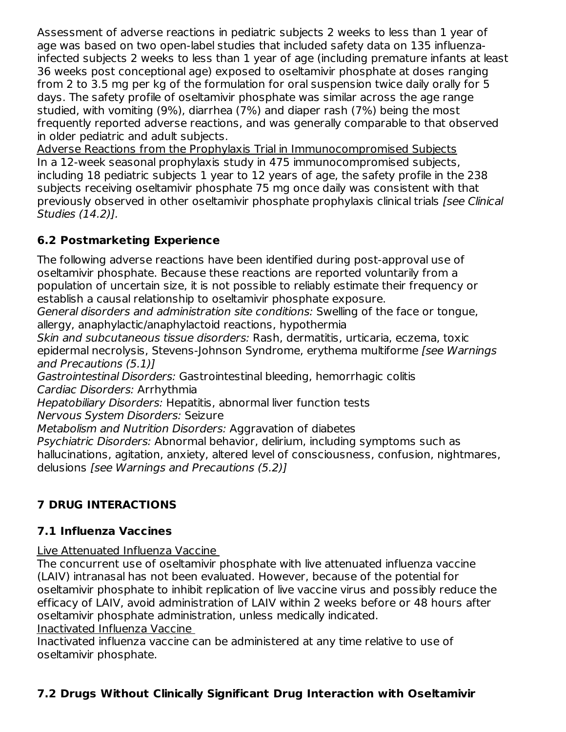Assessment of adverse reactions in pediatric subjects 2 weeks to less than 1 year of age was based on two open-label studies that included safety data on 135 influenzainfected subjects 2 weeks to less than 1 year of age (including premature infants at least 36 weeks post conceptional age) exposed to oseltamivir phosphate at doses ranging from 2 to 3.5 mg per kg of the formulation for oral suspension twice daily orally for 5 days. The safety profile of oseltamivir phosphate was similar across the age range studied, with vomiting (9%), diarrhea (7%) and diaper rash (7%) being the most frequently reported adverse reactions, and was generally comparable to that observed in older pediatric and adult subjects.

Adverse Reactions from the Prophylaxis Trial in Immunocompromised Subjects In a 12-week seasonal prophylaxis study in 475 immunocompromised subjects, including 18 pediatric subjects 1 year to 12 years of age, the safety profile in the 238 subjects receiving oseltamivir phosphate 75 mg once daily was consistent with that previously observed in other oseltamivir phosphate prophylaxis clinical trials [see Clinical Studies (14.2)].

## **6.2 Postmarketing Experience**

The following adverse reactions have been identified during post-approval use of oseltamivir phosphate. Because these reactions are reported voluntarily from a population of uncertain size, it is not possible to reliably estimate their frequency or establish a causal relationship to oseltamivir phosphate exposure.

General disorders and administration site conditions: Swelling of the face or tongue, allergy, anaphylactic/anaphylactoid reactions, hypothermia

Skin and subcutaneous tissue disorders: Rash, dermatitis, urticaria, eczema, toxic epidermal necrolysis, Stevens-Johnson Syndrome, erythema multiforme [see Warnings and Precautions (5.1)]

Gastrointestinal Disorders: Gastrointestinal bleeding, hemorrhagic colitis Cardiac Disorders: Arrhythmia

Hepatobiliary Disorders: Hepatitis, abnormal liver function tests

Nervous System Disorders: Seizure

Metabolism and Nutrition Disorders: Aggravation of diabetes

Psychiatric Disorders: Abnormal behavior, delirium, including symptoms such as hallucinations, agitation, anxiety, altered level of consciousness, confusion, nightmares, delusions [see Warnings and Precautions (5.2)]

# **7 DRUG INTERACTIONS**

# **7.1 Influenza Vaccines**

Live Attenuated Influenza Vaccine

The concurrent use of oseltamivir phosphate with live attenuated influenza vaccine (LAIV) intranasal has not been evaluated. However, because of the potential for oseltamivir phosphate to inhibit replication of live vaccine virus and possibly reduce the efficacy of LAIV, avoid administration of LAIV within 2 weeks before or 48 hours after oseltamivir phosphate administration, unless medically indicated.

## Inactivated Influenza Vaccine

Inactivated influenza vaccine can be administered at any time relative to use of oseltamivir phosphate.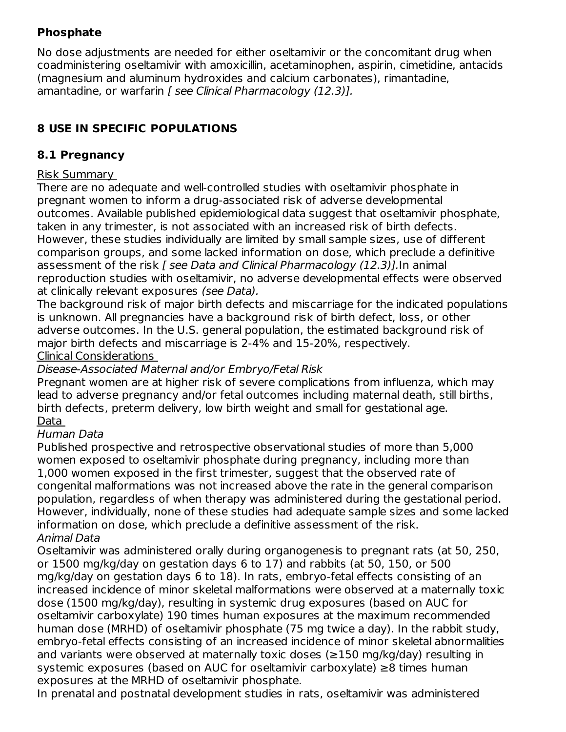## **Phosphate**

No dose adjustments are needed for either oseltamivir or the concomitant drug when coadministering oseltamivir with amoxicillin, acetaminophen, aspirin, cimetidine, antacids (magnesium and aluminum hydroxides and calcium carbonates), rimantadine, amantadine, or warfarin [ see Clinical Pharmacology (12.3)].

# **8 USE IN SPECIFIC POPULATIONS**

## **8.1 Pregnancy**

## Risk Summary

There are no adequate and well-controlled studies with oseltamivir phosphate in pregnant women to inform a drug-associated risk of adverse developmental outcomes. Available published epidemiological data suggest that oseltamivir phosphate, taken in any trimester, is not associated with an increased risk of birth defects. However, these studies individually are limited by small sample sizes, use of different comparison groups, and some lacked information on dose, which preclude a definitive assessment of the risk *[ see Data and Clinical Pharmacology (12.3)]*. In animal reproduction studies with oseltamivir, no adverse developmental effects were observed at clinically relevant exposures (see Data).

The background risk of major birth defects and miscarriage for the indicated populations is unknown. All pregnancies have a background risk of birth defect, loss, or other adverse outcomes. In the U.S. general population, the estimated background risk of major birth defects and miscarriage is 2-4% and 15-20%, respectively. Clinical Considerations

Disease-Associated Maternal and/or Embryo/Fetal Risk

Pregnant women are at higher risk of severe complications from influenza, which may lead to adverse pregnancy and/or fetal outcomes including maternal death, still births, birth defects, preterm delivery, low birth weight and small for gestational age. Data

## Human Data

Published prospective and retrospective observational studies of more than 5,000 women exposed to oseltamivir phosphate during pregnancy, including more than 1,000 women exposed in the first trimester, suggest that the observed rate of congenital malformations was not increased above the rate in the general comparison population, regardless of when therapy was administered during the gestational period. However, individually, none of these studies had adequate sample sizes and some lacked information on dose, which preclude a definitive assessment of the risk. Animal Data

Oseltamivir was administered orally during organogenesis to pregnant rats (at 50, 250, or 1500 mg/kg/day on gestation days 6 to 17) and rabbits (at 50, 150, or 500 mg/kg/day on gestation days 6 to 18). In rats, embryo‐fetal effects consisting of an increased incidence of minor skeletal malformations were observed at a maternally toxic dose (1500 mg/kg/day), resulting in systemic drug exposures (based on AUC for oseltamivir carboxylate) 190 times human exposures at the maximum recommended human dose (MRHD) of oseltamivir phosphate (75 mg twice a day). In the rabbit study, embryo-fetal effects consisting of an increased incidence of minor skeletal abnormalities and variants were observed at maternally toxic doses (≥150 mg/kg/day) resulting in systemic exposures (based on AUC for oseltamivir carboxylate) ≥8 times human exposures at the MRHD of oseltamivir phosphate.

In prenatal and postnatal development studies in rats, oseltamivir was administered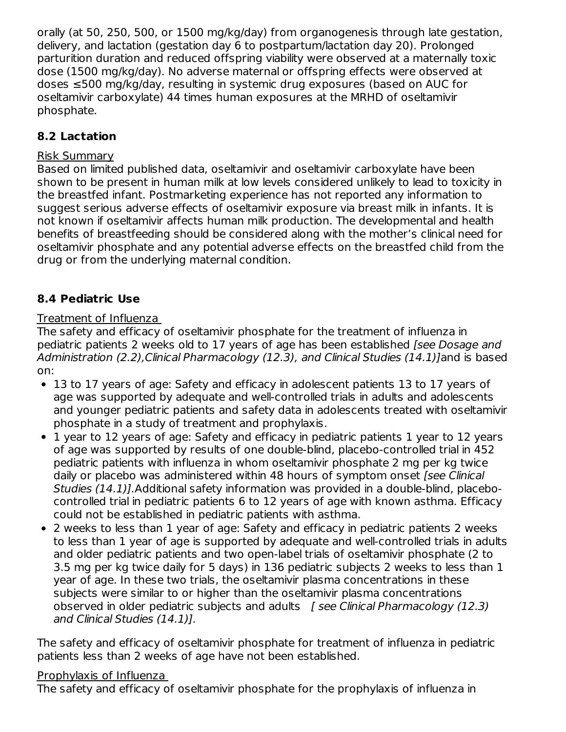orally (at 50, 250, 500, or 1500 mg/kg/day) from organogenesis through late gestation, delivery, and lactation (gestation day 6 to postpartum/lactation day 20). Prolonged parturition duration and reduced offspring viability were observed at a maternally toxic dose (1500 mg/kg/day). No adverse maternal or offspring effects were observed at doses ≤500 mg/kg/day, resulting in systemic drug exposures (based on AUC for oseltamivir carboxylate) 44 times human exposures at the MRHD of oseltamivir phosphate.

## **8.2 Lactation**

## Risk Summary

Based on limited published data, oseltamivir and oseltamivir carboxylate have been shown to be present in human milk at low levels considered unlikely to lead to toxicity in the breastfed infant. Postmarketing experience has not reported any information to suggest serious adverse effects of oseltamivir exposure via breast milk in infants. It is not known if oseltamivir affects human milk production. The developmental and health benefits of breastfeeding should be considered along with the mother's clinical need for oseltamivir phosphate and any potential adverse effects on the breastfed child from the drug or from the underlying maternal condition.

## **8.4 Pediatric Use**

## Treatment of Influenza

The safety and efficacy of oseltamivir phosphate for the treatment of influenza in pediatric patients 2 weeks old to 17 years of age has been established [see Dosage and Administration (2.2),Clinical Pharmacology (12.3), and Clinical Studies (14.1)]and is based on:

- 13 to 17 years of age: Safety and efficacy in adolescent patients 13 to 17 years of age was supported by adequate and well-controlled trials in adults and adolescents and younger pediatric patients and safety data in adolescents treated with oseltamivir phosphate in a study of treatment and prophylaxis.
- 1 year to 12 years of age: Safety and efficacy in pediatric patients 1 year to 12 years of age was supported by results of one double-blind, placebo-controlled trial in 452 pediatric patients with influenza in whom oseltamivir phosphate 2 mg per kg twice daily or placebo was administered within 48 hours of symptom onset [see Clinical Studies (14.1)].Additional safety information was provided in a double-blind, placebocontrolled trial in pediatric patients 6 to 12 years of age with known asthma. Efficacy could not be established in pediatric patients with asthma.
- 2 weeks to less than 1 year of age: Safety and efficacy in pediatric patients 2 weeks to less than 1 year of age is supported by adequate and well-controlled trials in adults and older pediatric patients and two open-label trials of oseltamivir phosphate (2 to 3.5 mg per kg twice daily for 5 days) in 136 pediatric subjects 2 weeks to less than 1 year of age. In these two trials, the oseltamivir plasma concentrations in these subjects were similar to or higher than the oseltamivir plasma concentrations observed in older pediatric subjects and adults  $\int$  see Clinical Pharmacology (12.3) and Clinical Studies (14.1)].

The safety and efficacy of oseltamivir phosphate for treatment of influenza in pediatric patients less than 2 weeks of age have not been established.

## Prophylaxis of Influenza

The safety and efficacy of oseltamivir phosphate for the prophylaxis of influenza in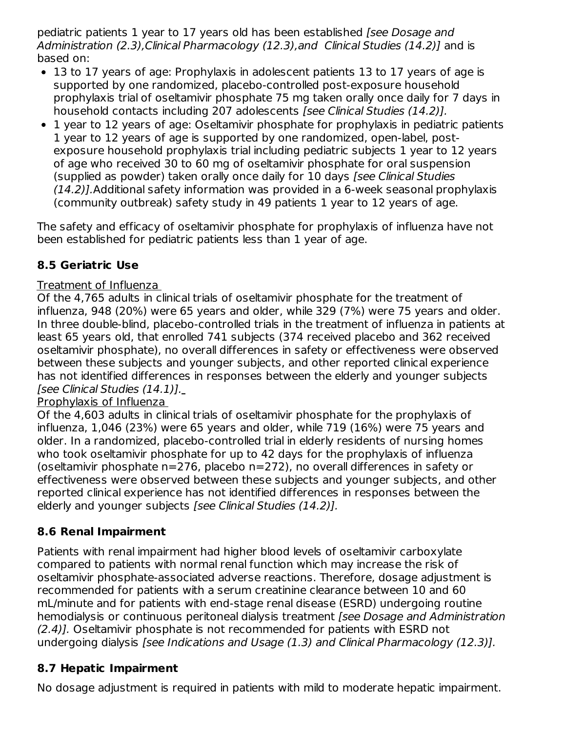pediatric patients 1 year to 17 years old has been established [see Dosage and Administration (2.3), Clinical Pharmacology (12.3), and Clinical Studies (14.2)] and is based on:

- 13 to 17 years of age: Prophylaxis in adolescent patients 13 to 17 years of age is supported by one randomized, placebo-controlled post-exposure household prophylaxis trial of oseltamivir phosphate 75 mg taken orally once daily for 7 days in household contacts including 207 adolescents [see Clinical Studies (14.2)].
- 1 year to 12 years of age: Oseltamivir phosphate for prophylaxis in pediatric patients 1 year to 12 years of age is supported by one randomized, open-label, postexposure household prophylaxis trial including pediatric subjects 1 year to 12 years of age who received 30 to 60 mg of oseltamivir phosphate for oral suspension (supplied as powder) taken orally once daily for 10 days [see Clinical Studies (14.2)].Additional safety information was provided in a 6-week seasonal prophylaxis (community outbreak) safety study in 49 patients 1 year to 12 years of age.

The safety and efficacy of oseltamivir phosphate for prophylaxis of influenza have not been established for pediatric patients less than 1 year of age.

# **8.5 Geriatric Use**

## Treatment of Influenza

Of the 4,765 adults in clinical trials of oseltamivir phosphate for the treatment of influenza, 948 (20%) were 65 years and older, while 329 (7%) were 75 years and older. In three double-blind, placebo-controlled trials in the treatment of influenza in patients at least 65 years old, that enrolled 741 subjects (374 received placebo and 362 received oseltamivir phosphate), no overall differences in safety or effectiveness were observed between these subjects and younger subjects, and other reported clinical experience has not identified differences in responses between the elderly and younger subjects [see Clinical Studies (14.1)].

## Prophylaxis of Influenza

Of the 4,603 adults in clinical trials of oseltamivir phosphate for the prophylaxis of influenza, 1,046 (23%) were 65 years and older, while 719 (16%) were 75 years and older. In a randomized, placebo-controlled trial in elderly residents of nursing homes who took oseltamivir phosphate for up to 42 days for the prophylaxis of influenza (oseltamivir phosphate n=276, placebo n=272), no overall differences in safety or effectiveness were observed between these subjects and younger subjects, and other reported clinical experience has not identified differences in responses between the elderly and younger subjects [see Clinical Studies (14.2)].

## **8.6 Renal Impairment**

Patients with renal impairment had higher blood levels of oseltamivir carboxylate compared to patients with normal renal function which may increase the risk of oseltamivir phosphate-associated adverse reactions. Therefore, dosage adjustment is recommended for patients with a serum creatinine clearance between 10 and 60 mL/minute and for patients with end-stage renal disease (ESRD) undergoing routine hemodialysis or continuous peritoneal dialysis treatment [see Dosage and Administration (2.4)]. Oseltamivir phosphate is not recommended for patients with ESRD not undergoing dialysis [see Indications and Usage (1.3) and Clinical Pharmacology (12.3)].

## **8.7 Hepatic Impairment**

No dosage adjustment is required in patients with mild to moderate hepatic impairment.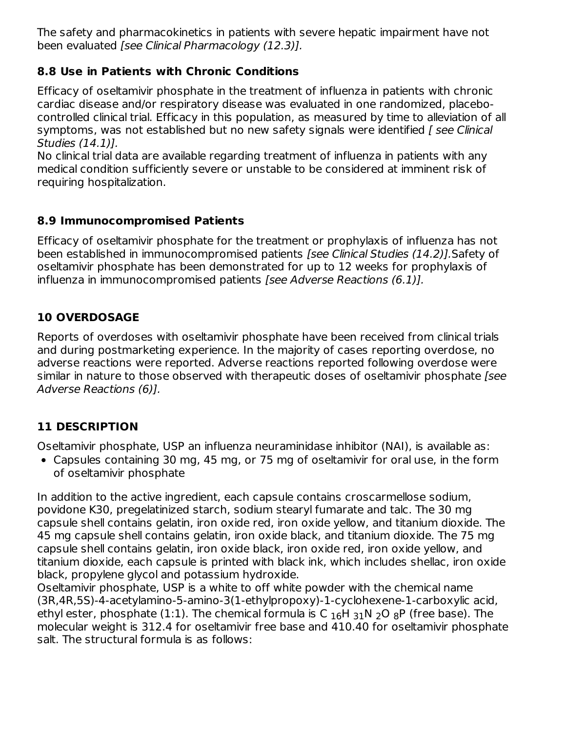The safety and pharmacokinetics in patients with severe hepatic impairment have not been evaluated [see Clinical Pharmacology (12.3)].

## **8.8 Use in Patients with Chronic Conditions**

Efficacy of oseltamivir phosphate in the treatment of influenza in patients with chronic cardiac disease and/or respiratory disease was evaluated in one randomized, placebocontrolled clinical trial. Efficacy in this population, as measured by time to alleviation of all symptoms, was not established but no new safety signals were identified [ see Clinical Studies (14.1)].

No clinical trial data are available regarding treatment of influenza in patients with any medical condition sufficiently severe or unstable to be considered at imminent risk of requiring hospitalization.

## **8.9 Immunocompromised Patients**

Efficacy of oseltamivir phosphate for the treatment or prophylaxis of influenza has not been established in immunocompromised patients [see Clinical Studies (14.2)].Safety of oseltamivir phosphate has been demonstrated for up to 12 weeks for prophylaxis of influenza in immunocompromised patients [see Adverse Reactions (6.1)].

## **10 OVERDOSAGE**

Reports of overdoses with oseltamivir phosphate have been received from clinical trials and during postmarketing experience. In the majority of cases reporting overdose, no adverse reactions were reported. Adverse reactions reported following overdose were similar in nature to those observed with therapeutic doses of oseltamivir phosphate [see Adverse Reactions (6)].

## **11 DESCRIPTION**

Oseltamivir phosphate, USP an influenza neuraminidase inhibitor (NAI), is available as:

Capsules containing 30 mg, 45 mg, or 75 mg of oseltamivir for oral use, in the form of oseltamivir phosphate

In addition to the active ingredient, each capsule contains croscarmellose sodium, povidone K30, pregelatinized starch, sodium stearyl fumarate and talc. The 30 mg capsule shell contains gelatin, iron oxide red, iron oxide yellow, and titanium dioxide. The 45 mg capsule shell contains gelatin, iron oxide black, and titanium dioxide. The 75 mg capsule shell contains gelatin, iron oxide black, iron oxide red, iron oxide yellow, and titanium dioxide, each capsule is printed with black ink, which includes shellac, iron oxide black, propylene glycol and potassium hydroxide.

Oseltamivir phosphate, USP is a white to off white powder with the chemical name (3R,4R,5S)-4-acetylamino-5-amino-3(1-ethylpropoxy)-1-cyclohexene-1-carboxylic acid, ethyl ester, phosphate (1:1). The chemical formula is C  $_{16}$ H  $_{31}$ N  $_{2}$ O  $_{8}$ P (free base). The molecular weight is 312.4 for oseltamivir free base and 410.40 for oseltamivir phosphate salt. The structural formula is as follows: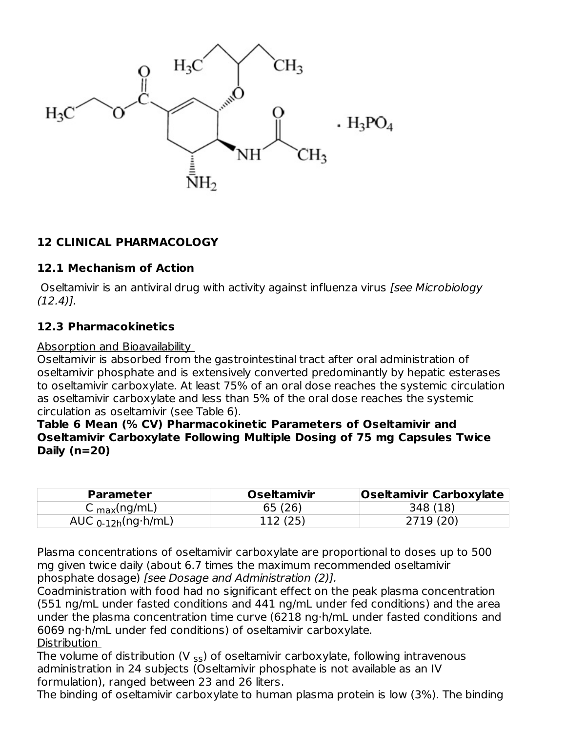

## **12 CLINICAL PHARMACOLOGY**

#### **12.1 Mechanism of Action**

Oseltamivir is an antiviral drug with activity against influenza virus *[see Microbiology* (12.4)].

#### **12.3 Pharmacokinetics**

#### Absorption and Bioavailability

Oseltamivir is absorbed from the gastrointestinal tract after oral administration of oseltamivir phosphate and is extensively converted predominantly by hepatic esterases to oseltamivir carboxylate. At least 75% of an oral dose reaches the systemic circulation as oseltamivir carboxylate and less than 5% of the oral dose reaches the systemic circulation as oseltamivir (see Table 6).

**Table 6 Mean (% CV) Pharmacokinetic Parameters of Oseltamivir and Oseltamivir Carboxylate Following Multiple Dosing of 75 mg Capsules Twice Daily (n=20)**

| <b>Parameter</b>         | <b>Oseltamivir</b> | <b>Oseltamivir Carboxylate</b> |
|--------------------------|--------------------|--------------------------------|
| C $_{max}(ng/mL)$        | 65 (26)            | 348 (18)                       |
| AUC $_{0-12h}$ (ng·h/mL) | 112(25)            | 2719 (20)                      |

Plasma concentrations of oseltamivir carboxylate are proportional to doses up to 500 mg given twice daily (about 6.7 times the maximum recommended oseltamivir phosphate dosage) [see Dosage and Administration (2)].

Coadministration with food had no significant effect on the peak plasma concentration (551 ng/mL under fasted conditions and 441 ng/mL under fed conditions) and the area under the plasma concentration time curve (6218 ng·h/mL under fasted conditions and 6069 ng·h/mL under fed conditions) of oseltamivir carboxylate. Distribution

The volume of distribution (V  $_{\sf ss}$ ) of oseltamivir carboxylate, following intravenous administration in 24 subjects (Oseltamivir phosphate is not available as an IV formulation), ranged between 23 and 26 liters.

The binding of oseltamivir carboxylate to human plasma protein is low (3%). The binding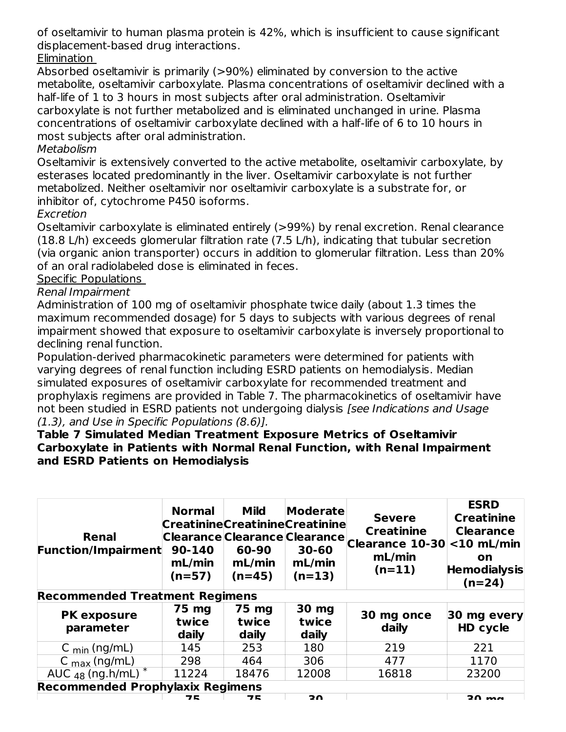of oseltamivir to human plasma protein is 42%, which is insufficient to cause significant displacement-based drug interactions.

Elimination

Absorbed oseltamivir is primarily (>90%) eliminated by conversion to the active metabolite, oseltamivir carboxylate. Plasma concentrations of oseltamivir declined with a half-life of 1 to 3 hours in most subjects after oral administration. Oseltamivir carboxylate is not further metabolized and is eliminated unchanged in urine. Plasma concentrations of oseltamivir carboxylate declined with a half-life of 6 to 10 hours in most subjects after oral administration.

## Metabolism

Oseltamivir is extensively converted to the active metabolite, oseltamivir carboxylate, by esterases located predominantly in the liver. Oseltamivir carboxylate is not further metabolized. Neither oseltamivir nor oseltamivir carboxylate is a substrate for, or inhibitor of, cytochrome P450 isoforms.

## Excretion

Oseltamivir carboxylate is eliminated entirely (>99%) by renal excretion. Renal clearance (18.8 L/h) exceeds glomerular filtration rate (7.5 L/h), indicating that tubular secretion (via organic anion transporter) occurs in addition to glomerular filtration. Less than 20% of an oral radiolabeled dose is eliminated in feces.

### Specific Populations

### Renal Impairment

Administration of 100 mg of oseltamivir phosphate twice daily (about 1.3 times the maximum recommended dosage) for 5 days to subjects with various degrees of renal impairment showed that exposure to oseltamivir carboxylate is inversely proportional to declining renal function.

Population-derived pharmacokinetic parameters were determined for patients with varying degrees of renal function including ESRD patients on hemodialysis. Median simulated exposures of oseltamivir carboxylate for recommended treatment and prophylaxis regimens are provided in Table 7. The pharmacokinetics of oseltamivir have not been studied in ESRD patients not undergoing dialysis [see Indications and Usage (1.3), and Use in Specific Populations (8.6)].

#### **Table 7 Simulated Median Treatment Exposure Metrics of Oseltamivir Carboxylate in Patients with Normal Renal Function, with Renal Impairment and ESRD Patients on Hemodialysis**

| Renal<br><b>Function/Impairment</b>     | <b>Normal</b><br>90-140<br>mL/min<br>$(n=57)$ | <b>Mild</b><br><b>CreatinineCreatinineCreatinine</b><br>60-90<br>mL/min<br>$(n=45)$ | Moderate<br>$30 - 60$<br>mL/min<br>$(n=13)$ | <b>Severe</b><br><b>Creatinine</b><br>Clearance Clearance Clearance Clearance 10-30<br>mL/min<br>$(n=11)$ | <b>ESRD</b><br><b>Creatinine</b><br><b>Clearance</b><br>$<$ 10 mL/min<br><b>on</b><br><b>Hemodialysis</b><br>$(n=24)$ |
|-----------------------------------------|-----------------------------------------------|-------------------------------------------------------------------------------------|---------------------------------------------|-----------------------------------------------------------------------------------------------------------|-----------------------------------------------------------------------------------------------------------------------|
| <b>Recommended Treatment Regimens</b>   |                                               |                                                                                     |                                             |                                                                                                           |                                                                                                                       |
| <b>PK exposure</b><br>parameter         | 75 mg<br>twice<br>daily                       | 75 mg<br>twice<br>daily                                                             | 30 mg<br>twice<br>daily                     | 30 mg once<br>daily                                                                                       | 30 mg every<br>HD cycle                                                                                               |
| C $_{min}$ (ng/mL)                      | 145                                           | 253                                                                                 | 180                                         | 219                                                                                                       | 221                                                                                                                   |
| C $_{\text{max}}$ (ng/mL)               | 298                                           | 464                                                                                 | 306                                         | 477                                                                                                       | 1170                                                                                                                  |
| AUC $_{48}$ (ng.h/mL) <sup>*</sup>      | 11224                                         | 18476                                                                               | 12008                                       | 16818                                                                                                     | 23200                                                                                                                 |
| <b>Recommended Prophylaxix Regimens</b> |                                               |                                                                                     |                                             |                                                                                                           |                                                                                                                       |
|                                         | 76                                            | フヒ                                                                                  | 20                                          |                                                                                                           | $20 \text{ ms}$                                                                                                       |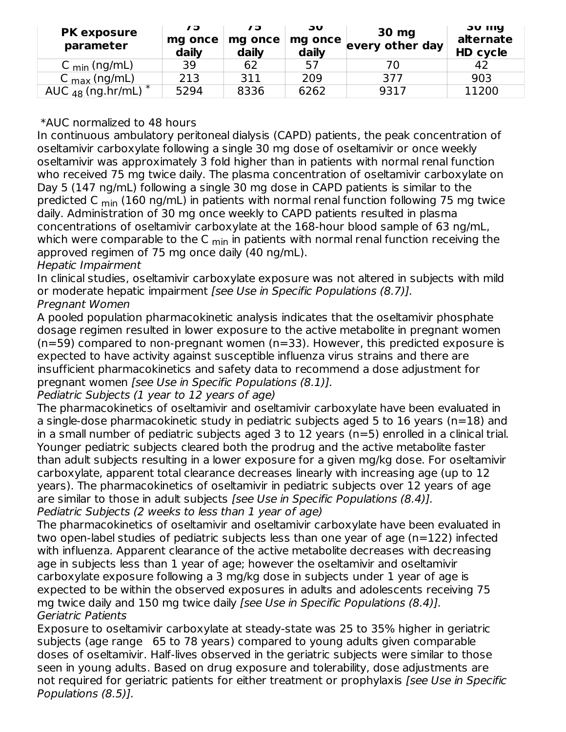| <b>PK exposure</b><br>parameter  | 79<br>mg once<br>daily | 73<br>mg once<br>daily | JU<br>mg once<br>daily | 30 mg<br>every other day | <b>JU IIIY</b><br>alternate<br>HD cycle |
|----------------------------------|------------------------|------------------------|------------------------|--------------------------|-----------------------------------------|
| C $_{\text{min}}$ (ng/mL)        | 39                     | 62                     | 57                     |                          | 42                                      |
| $C_{\text{max}}$ (ng/mL)         | 213                    | 311                    | 209                    | 377                      | 903                                     |
| AUC $_{48}$ (ng.hr/mL) $^{\ast}$ | 5294                   | 8336                   | 6262                   | 9317                     | 11200                                   |

#### \*AUC normalized to 48 hours

In continuous ambulatory peritoneal dialysis (CAPD) patients, the peak concentration of oseltamivir carboxylate following a single 30 mg dose of oseltamivir or once weekly oseltamivir was approximately 3 fold higher than in patients with normal renal function who received 75 mg twice daily. The plasma concentration of oseltamivir carboxylate on Day 5 (147 ng/mL) following a single 30 mg dose in CAPD patients is similar to the predicted C <sub>min</sub> (160 ng/mL) in patients with normal renal function following 75 mg twice daily. Administration of 30 mg once weekly to CAPD patients resulted in plasma concentrations of oseltamivir carboxylate at the 168-hour blood sample of 63 ng/mL, which were comparable to the C <sub>min</sub> in patients with normal renal function receiving the approved regimen of 75 mg once daily (40 ng/mL).

### Hepatic Impairment

In clinical studies, oseltamivir carboxylate exposure was not altered in subjects with mild or moderate hepatic impairment [see Use in Specific Populations (8.7)]. Pregnant Women

A pooled population pharmacokinetic analysis indicates that the oseltamivir phosphate dosage regimen resulted in lower exposure to the active metabolite in pregnant women (n=59) compared to non-pregnant women (n=33). However, this predicted exposure is expected to have activity against susceptible influenza virus strains and there are insufficient pharmacokinetics and safety data to recommend a dose adjustment for pregnant women [see Use in Specific Populations (8.1)].

#### Pediatric Subjects (1 year to 12 years of age)

The pharmacokinetics of oseltamivir and oseltamivir carboxylate have been evaluated in a single-dose pharmacokinetic study in pediatric subjects aged 5 to 16 years (n=18) and in a small number of pediatric subjects aged 3 to 12 years (n=5) enrolled in a clinical trial. Younger pediatric subjects cleared both the prodrug and the active metabolite faster than adult subjects resulting in a lower exposure for a given mg/kg dose. For oseltamivir carboxylate, apparent total clearance decreases linearly with increasing age (up to 12 years). The pharmacokinetics of oseltamivir in pediatric subjects over 12 years of age are similar to those in adult subjects [see Use in Specific Populations (8.4)]. Pediatric Subjects (2 weeks to less than 1 year of age)

The pharmacokinetics of oseltamivir and oseltamivir carboxylate have been evaluated in two open-label studies of pediatric subjects less than one year of age (n=122) infected with influenza. Apparent clearance of the active metabolite decreases with decreasing age in subjects less than 1 year of age; however the oseltamivir and oseltamivir carboxylate exposure following a 3 mg/kg dose in subjects under 1 year of age is expected to be within the observed exposures in adults and adolescents receiving 75 mg twice daily and 150 mg twice daily [see Use in Specific Populations (8.4)]. Geriatric Patients

Exposure to oseltamivir carboxylate at steady-state was 25 to 35% higher in geriatric subjects (age range 65 to 78 years) compared to young adults given comparable doses of oseltamivir. Half-lives observed in the geriatric subjects were similar to those seen in young adults. Based on drug exposure and tolerability, dose adjustments are not required for geriatric patients for either treatment or prophylaxis [see Use in Specific Populations (8.5)].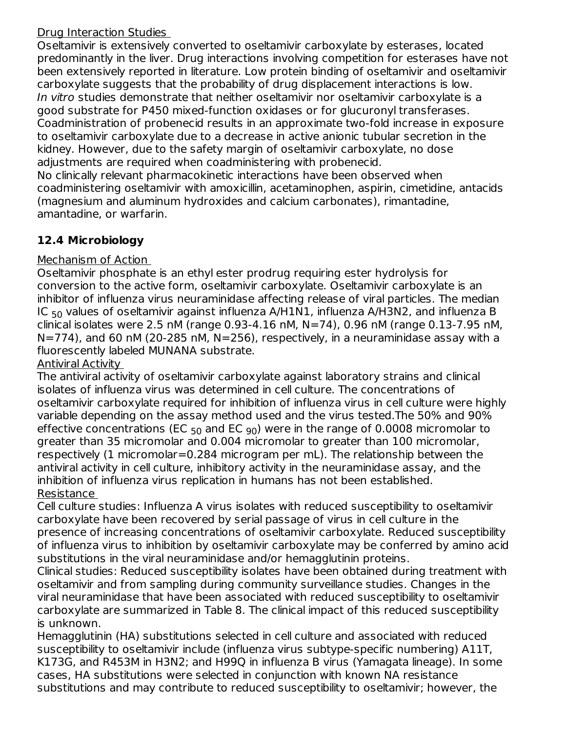## Drug Interaction Studies

Oseltamivir is extensively converted to oseltamivir carboxylate by esterases, located predominantly in the liver. Drug interactions involving competition for esterases have not been extensively reported in literature. Low protein binding of oseltamivir and oseltamivir carboxylate suggests that the probability of drug displacement interactions is low. In vitro studies demonstrate that neither oseltamivir nor oseltamivir carboxylate is a good substrate for P450 mixed-function oxidases or for glucuronyl transferases. Coadministration of probenecid results in an approximate two-fold increase in exposure to oseltamivir carboxylate due to a decrease in active anionic tubular secretion in the kidney. However, due to the safety margin of oseltamivir carboxylate, no dose adjustments are required when coadministering with probenecid. No clinically relevant pharmacokinetic interactions have been observed when

coadministering oseltamivir with amoxicillin, acetaminophen, aspirin, cimetidine, antacids (magnesium and aluminum hydroxides and calcium carbonates), rimantadine, amantadine, or warfarin.

## **12.4 Microbiology**

## Mechanism of Action

Oseltamivir phosphate is an ethyl ester prodrug requiring ester hydrolysis for conversion to the active form, oseltamivir carboxylate. Oseltamivir carboxylate is an inhibitor of influenza virus neuraminidase affecting release of viral particles. The median IC  $_{50}$  values of oseltamivir against influenza A/H1N1, influenza A/H3N2, and influenza B clinical isolates were 2.5 nM (range 0.93-4.16 nM, N=74), 0.96 nM (range 0.13-7.95 nM, N=774), and 60 nM (20-285 nM, N=256), respectively, in a neuraminidase assay with a fluorescently labeled MUNANA substrate.

Antiviral Activity

The antiviral activity of oseltamivir carboxylate against laboratory strains and clinical isolates of influenza virus was determined in cell culture. The concentrations of oseltamivir carboxylate required for inhibition of influenza virus in cell culture were highly variable depending on the assay method used and the virus tested.The 50% and 90% effective concentrations (EC  $_{50}$  and EC  $_{90}$ ) were in the range of 0.0008 micromolar to greater than 35 micromolar and 0.004 micromolar to greater than 100 micromolar, respectively (1 micromolar=0.284 microgram per mL). The relationship between the antiviral activity in cell culture, inhibitory activity in the neuraminidase assay, and the inhibition of influenza virus replication in humans has not been established. Resistance

Cell culture studies: Influenza A virus isolates with reduced susceptibility to oseltamivir carboxylate have been recovered by serial passage of virus in cell culture in the presence of increasing concentrations of oseltamivir carboxylate. Reduced susceptibility of influenza virus to inhibition by oseltamivir carboxylate may be conferred by amino acid substitutions in the viral neuraminidase and/or hemagglutinin proteins.

Clinical studies: Reduced susceptibility isolates have been obtained during treatment with oseltamivir and from sampling during community surveillance studies. Changes in the viral neuraminidase that have been associated with reduced susceptibility to oseltamivir carboxylate are summarized in Table 8. The clinical impact of this reduced susceptibility is unknown.

Hemagglutinin (HA) substitutions selected in cell culture and associated with reduced susceptibility to oseltamivir include (influenza virus subtype-specific numbering) A11T, K173G, and R453M in H3N2; and H99Q in influenza B virus (Yamagata lineage). In some cases, HA substitutions were selected in conjunction with known NA resistance substitutions and may contribute to reduced susceptibility to oseltamivir; however, the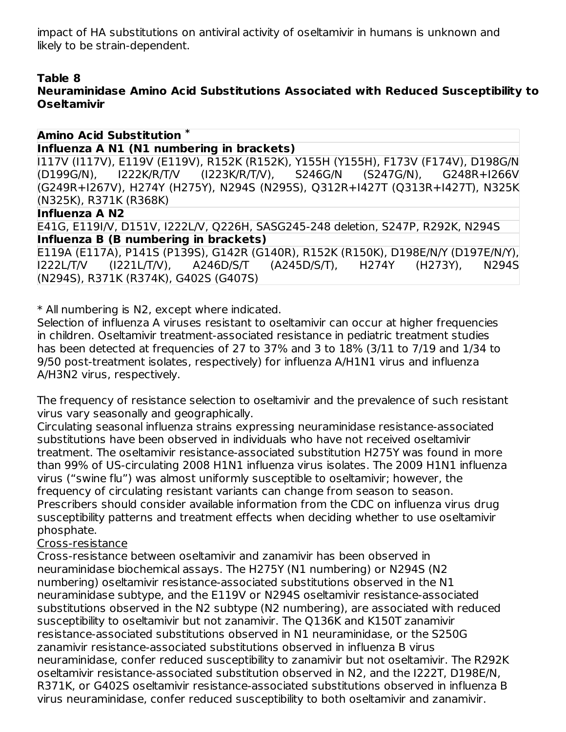impact of HA substitutions on antiviral activity of oseltamivir in humans is unknown and likely to be strain-dependent.

### **Table 8**

## **Neuraminidase Amino Acid Substitutions Associated with Reduced Susceptibility to Oseltamivir**

#### **Amino Acid Substitution \***

#### **Influenza A N1 (N1 numbering in brackets)**

I117V (I117V), E119V (E119V), R152K (R152K), Y155H (Y155H), F173V (F174V), D198G/N (D199G/N), I222K/R/T/V (I223K/R/T/V), S246G/N (S247G/N), G248R+I266V (G249R+I267V), H274Y (H275Y), N294S (N295S), Q312R+I427T (Q313R+I427T), N325K (N325K), R371K (R368K)

#### **Influenza A N2**

E41G, E119I/V, D151V, I222L/V, Q226H, SASG245-248 deletion, S247P, R292K, N294S

### **Influenza B (B numbering in brackets)**

E119A (E117A), P141S (P139S), G142R (G140R), R152K (R150K), D198E/N/Y (D197E/N/Y), I222L/T/V (I221L/T/V), A246D/S/T (A245D/S/T), H274Y (H273Y), N294S (N294S), R371K (R374K), G402S (G407S)

\* All numbering is N2, except where indicated.

Selection of influenza A viruses resistant to oseltamivir can occur at higher frequencies in children. Oseltamivir treatment-associated resistance in pediatric treatment studies has been detected at frequencies of 27 to 37% and 3 to 18% (3/11 to 7/19 and 1/34 to 9/50 post-treatment isolates, respectively) for influenza A/H1N1 virus and influenza A/H3N2 virus, respectively.

The frequency of resistance selection to oseltamivir and the prevalence of such resistant virus vary seasonally and geographically.

Circulating seasonal influenza strains expressing neuraminidase resistance-associated substitutions have been observed in individuals who have not received oseltamivir treatment. The oseltamivir resistance-associated substitution H275Y was found in more than 99% of US-circulating 2008 H1N1 influenza virus isolates. The 2009 H1N1 influenza virus ("swine flu") was almost uniformly susceptible to oseltamivir; however, the frequency of circulating resistant variants can change from season to season. Prescribers should consider available information from the CDC on influenza virus drug susceptibility patterns and treatment effects when deciding whether to use oseltamivir phosphate.

#### Cross-resistance

Cross-resistance between oseltamivir and zanamivir has been observed in neuraminidase biochemical assays. The H275Y (N1 numbering) or N294S (N2 numbering) oseltamivir resistance-associated substitutions observed in the N1 neuraminidase subtype, and the E119V or N294S oseltamivir resistance-associated substitutions observed in the N2 subtype (N2 numbering), are associated with reduced susceptibility to oseltamivir but not zanamivir. The Q136K and K150T zanamivir resistance-associated substitutions observed in N1 neuraminidase, or the S250G zanamivir resistance-associated substitutions observed in influenza B virus neuraminidase, confer reduced susceptibility to zanamivir but not oseltamivir. The R292K oseltamivir resistance-associated substitution observed in N2, and the I222T, D198E/N, R371K, or G402S oseltamivir resistance-associated substitutions observed in influenza B virus neuraminidase, confer reduced susceptibility to both oseltamivir and zanamivir.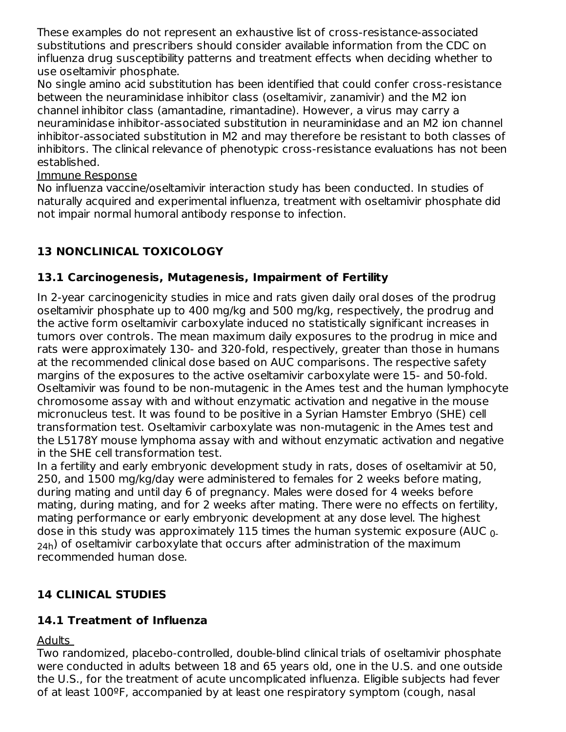These examples do not represent an exhaustive list of cross-resistance-associated substitutions and prescribers should consider available information from the CDC on influenza drug susceptibility patterns and treatment effects when deciding whether to use oseltamivir phosphate.

No single amino acid substitution has been identified that could confer cross-resistance between the neuraminidase inhibitor class (oseltamivir, zanamivir) and the M2 ion channel inhibitor class (amantadine, rimantadine). However, a virus may carry a neuraminidase inhibitor-associated substitution in neuraminidase and an M2 ion channel inhibitor-associated substitution in M2 and may therefore be resistant to both classes of inhibitors. The clinical relevance of phenotypic cross-resistance evaluations has not been established.

### Immune Response

No influenza vaccine/oseltamivir interaction study has been conducted. In studies of naturally acquired and experimental influenza, treatment with oseltamivir phosphate did not impair normal humoral antibody response to infection.

## **13 NONCLINICAL TOXICOLOGY**

## **13.1 Carcinogenesis, Mutagenesis, Impairment of Fertility**

In 2-year carcinogenicity studies in mice and rats given daily oral doses of the prodrug oseltamivir phosphate up to 400 mg/kg and 500 mg/kg, respectively, the prodrug and the active form oseltamivir carboxylate induced no statistically significant increases in tumors over controls. The mean maximum daily exposures to the prodrug in mice and rats were approximately 130- and 320-fold, respectively, greater than those in humans at the recommended clinical dose based on AUC comparisons. The respective safety margins of the exposures to the active oseltamivir carboxylate were 15- and 50-fold. Oseltamivir was found to be non-mutagenic in the Ames test and the human lymphocyte chromosome assay with and without enzymatic activation and negative in the mouse micronucleus test. It was found to be positive in a Syrian Hamster Embryo (SHE) cell transformation test. Oseltamivir carboxylate was non-mutagenic in the Ames test and the L5178Y mouse lymphoma assay with and without enzymatic activation and negative in the SHE cell transformation test.

In a fertility and early embryonic development study in rats, doses of oseltamivir at 50, 250, and 1500 mg/kg/day were administered to females for 2 weeks before mating, during mating and until day 6 of pregnancy. Males were dosed for 4 weeks before mating, during mating, and for 2 weeks after mating. There were no effects on fertility, mating performance or early embryonic development at any dose level. The highest dose in this study was approximately  $115$  times the human systemic exposure (AUC  $_{\rm 0-}$  $_{\mathsf{24h}}$ ) of oseltamivir carboxylate that occurs after administration of the maximum recommended human dose.

## **14 CLINICAL STUDIES**

## **14.1 Treatment of Influenza**

#### Adults

Two randomized, placebo-controlled, double-blind clinical trials of oseltamivir phosphate were conducted in adults between 18 and 65 years old, one in the U.S. and one outside the U.S., for the treatment of acute uncomplicated influenza. Eligible subjects had fever of at least 100ºF, accompanied by at least one respiratory symptom (cough, nasal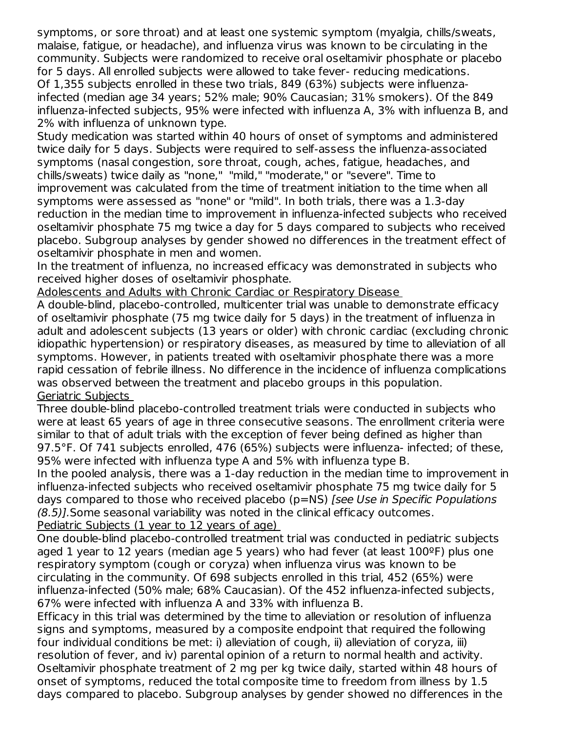symptoms, or sore throat) and at least one systemic symptom (myalgia, chills/sweats, malaise, fatigue, or headache), and influenza virus was known to be circulating in the community. Subjects were randomized to receive oral oseltamivir phosphate or placebo for 5 days. All enrolled subjects were allowed to take fever- reducing medications. Of 1,355 subjects enrolled in these two trials, 849 (63%) subjects were influenzainfected (median age 34 years; 52% male; 90% Caucasian; 31% smokers). Of the 849 influenza-infected subjects, 95% were infected with influenza A, 3% with influenza B, and 2% with influenza of unknown type.

Study medication was started within 40 hours of onset of symptoms and administered twice daily for 5 days. Subjects were required to self-assess the influenza-associated symptoms (nasal congestion, sore throat, cough, aches, fatigue, headaches, and chills/sweats) twice daily as "none," "mild," "moderate," or "severe". Time to improvement was calculated from the time of treatment initiation to the time when all symptoms were assessed as "none" or "mild". In both trials, there was a 1.3-day reduction in the median time to improvement in influenza-infected subjects who received oseltamivir phosphate 75 mg twice a day for 5 days compared to subjects who received placebo. Subgroup analyses by gender showed no differences in the treatment effect of oseltamivir phosphate in men and women.

In the treatment of influenza, no increased efficacy was demonstrated in subjects who received higher doses of oseltamivir phosphate.

Adolescents and Adults with Chronic Cardiac or Respiratory Disease

A double-blind, placebo-controlled, multicenter trial was unable to demonstrate efficacy of oseltamivir phosphate (75 mg twice daily for 5 days) in the treatment of influenza in adult and adolescent subjects (13 years or older) with chronic cardiac (excluding chronic idiopathic hypertension) or respiratory diseases, as measured by time to alleviation of all symptoms. However, in patients treated with oseltamivir phosphate there was a more rapid cessation of febrile illness. No difference in the incidence of influenza complications was observed between the treatment and placebo groups in this population. Geriatric Subjects

Three double-blind placebo-controlled treatment trials were conducted in subjects who were at least 65 years of age in three consecutive seasons. The enrollment criteria were similar to that of adult trials with the exception of fever being defined as higher than 97.5°F. Of 741 subjects enrolled, 476 (65%) subjects were influenza- infected; of these, 95% were infected with influenza type A and 5% with influenza type B.

In the pooled analysis, there was a 1-day reduction in the median time to improvement in influenza-infected subjects who received oseltamivir phosphate 75 mg twice daily for 5 days compared to those who received placebo (p=NS) [see Use in Specific Populations (8.5)].Some seasonal variability was noted in the clinical efficacy outcomes.

Pediatric Subjects (1 year to 12 years of age)

One double-blind placebo-controlled treatment trial was conducted in pediatric subjects aged 1 year to 12 years (median age 5 years) who had fever (at least  $100^{\circ}$ F) plus one respiratory symptom (cough or coryza) when influenza virus was known to be circulating in the community. Of 698 subjects enrolled in this trial, 452 (65%) were influenza-infected (50% male; 68% Caucasian). Of the 452 influenza-infected subjects, 67% were infected with influenza A and 33% with influenza B.

Efficacy in this trial was determined by the time to alleviation or resolution of influenza signs and symptoms, measured by a composite endpoint that required the following four individual conditions be met: i) alleviation of cough, ii) alleviation of coryza, iii) resolution of fever, and iv) parental opinion of a return to normal health and activity. Oseltamivir phosphate treatment of 2 mg per kg twice daily, started within 48 hours of onset of symptoms, reduced the total composite time to freedom from illness by 1.5 days compared to placebo. Subgroup analyses by gender showed no differences in the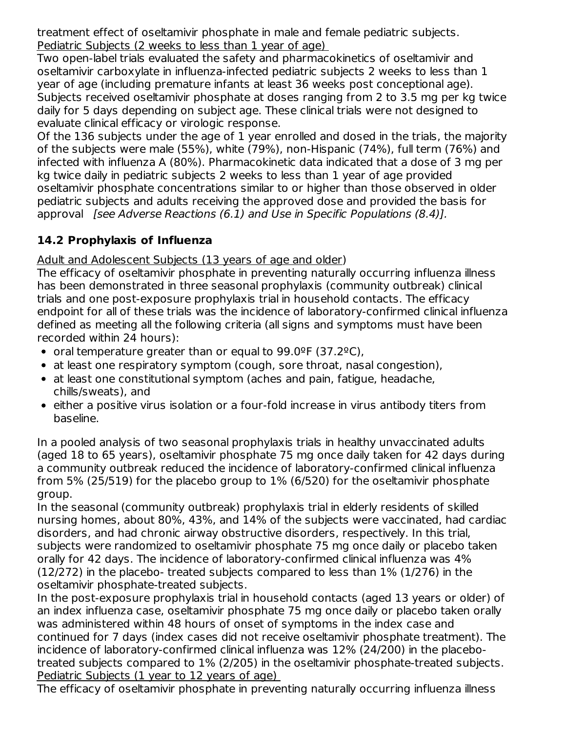treatment effect of oseltamivir phosphate in male and female pediatric subjects. Pediatric Subjects (2 weeks to less than 1 year of age)

Two open-label trials evaluated the safety and pharmacokinetics of oseltamivir and oseltamivir carboxylate in influenza-infected pediatric subjects 2 weeks to less than 1 year of age (including premature infants at least 36 weeks post conceptional age). Subjects received oseltamivir phosphate at doses ranging from 2 to 3.5 mg per kg twice daily for 5 days depending on subject age. These clinical trials were not designed to evaluate clinical efficacy or virologic response.

Of the 136 subjects under the age of 1 year enrolled and dosed in the trials, the majority of the subjects were male (55%), white (79%), non-Hispanic (74%), full term (76%) and infected with influenza A (80%). Pharmacokinetic data indicated that a dose of 3 mg per kg twice daily in pediatric subjects 2 weeks to less than 1 year of age provided oseltamivir phosphate concentrations similar to or higher than those observed in older pediatric subjects and adults receiving the approved dose and provided the basis for approval *[see Adverse Reactions (6.1) and Use in Specific Populations (8.4)].* 

# **14.2 Prophylaxis of Influenza**

Adult and Adolescent Subjects (13 years of age and older)

The efficacy of oseltamivir phosphate in preventing naturally occurring influenza illness has been demonstrated in three seasonal prophylaxis (community outbreak) clinical trials and one post-exposure prophylaxis trial in household contacts. The efficacy endpoint for all of these trials was the incidence of laboratory-confirmed clinical influenza defined as meeting all the following criteria (all signs and symptoms must have been recorded within 24 hours):

- oral temperature greater than or equal to  $99.0^{\circ}$ F (37.2 $^{\circ}$ C),
- at least one respiratory symptom (cough, sore throat, nasal congestion),
- at least one constitutional symptom (aches and pain, fatigue, headache, chills/sweats), and
- either a positive virus isolation or a four-fold increase in virus antibody titers from baseline.

In a pooled analysis of two seasonal prophylaxis trials in healthy unvaccinated adults (aged 18 to 65 years), oseltamivir phosphate 75 mg once daily taken for 42 days during a community outbreak reduced the incidence of laboratory-confirmed clinical influenza from 5% (25/519) for the placebo group to 1% (6/520) for the oseltamivir phosphate group.

In the seasonal (community outbreak) prophylaxis trial in elderly residents of skilled nursing homes, about 80%, 43%, and 14% of the subjects were vaccinated, had cardiac disorders, and had chronic airway obstructive disorders, respectively. In this trial, subjects were randomized to oseltamivir phosphate 75 mg once daily or placebo taken orally for 42 days. The incidence of laboratory-confirmed clinical influenza was 4% (12/272) in the placebo- treated subjects compared to less than 1% (1/276) in the oseltamivir phosphate-treated subjects.

In the post-exposure prophylaxis trial in household contacts (aged 13 years or older) of an index influenza case, oseltamivir phosphate 75 mg once daily or placebo taken orally was administered within 48 hours of onset of symptoms in the index case and continued for 7 days (index cases did not receive oseltamivir phosphate treatment). The incidence of laboratory-confirmed clinical influenza was 12% (24/200) in the placebotreated subjects compared to 1% (2/205) in the oseltamivir phosphate-treated subjects. Pediatric Subjects (1 year to 12 years of age)

The efficacy of oseltamivir phosphate in preventing naturally occurring influenza illness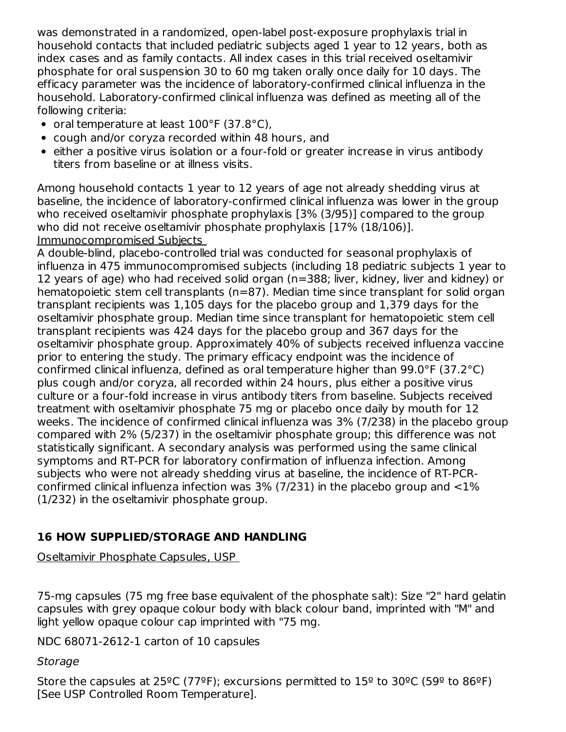was demonstrated in a randomized, open-label post-exposure prophylaxis trial in household contacts that included pediatric subjects aged 1 year to 12 years, both as index cases and as family contacts. All index cases in this trial received oseltamivir phosphate for oral suspension 30 to 60 mg taken orally once daily for 10 days. The efficacy parameter was the incidence of laboratory-confirmed clinical influenza in the household. Laboratory-confirmed clinical influenza was defined as meeting all of the following criteria:

- oral temperature at least  $100^{\circ}$ F (37.8 $^{\circ}$ C),
- cough and/or coryza recorded within 48 hours, and
- either a positive virus isolation or a four-fold or greater increase in virus antibody titers from baseline or at illness visits.

Among household contacts 1 year to 12 years of age not already shedding virus at baseline, the incidence of laboratory-confirmed clinical influenza was lower in the group who received oseltamivir phosphate prophylaxis [3% (3/95)] compared to the group who did not receive oseltamivir phosphate prophylaxis [17% (18/106)]. Immunocompromised Subjects

A double-blind, placebo-controlled trial was conducted for seasonal prophylaxis of influenza in 475 immunocompromised subjects (including 18 pediatric subjects 1 year to 12 years of age) who had received solid organ (n=388; liver, kidney, liver and kidney) or hematopoietic stem cell transplants (n=87). Median time since transplant for solid organ transplant recipients was 1,105 days for the placebo group and 1,379 days for the oseltamivir phosphate group. Median time since transplant for hematopoietic stem cell transplant recipients was 424 days for the placebo group and 367 days for the oseltamivir phosphate group. Approximately 40% of subjects received influenza vaccine prior to entering the study. The primary efficacy endpoint was the incidence of confirmed clinical influenza, defined as oral temperature higher than 99.0°F (37.2°C) plus cough and/or coryza, all recorded within 24 hours, plus either a positive virus culture or a four-fold increase in virus antibody titers from baseline. Subjects received treatment with oseltamivir phosphate 75 mg or placebo once daily by mouth for 12 weeks. The incidence of confirmed clinical influenza was 3% (7/238) in the placebo group compared with 2% (5/237) in the oseltamivir phosphate group; this difference was not statistically significant. A secondary analysis was performed using the same clinical symptoms and RT-PCR for laboratory confirmation of influenza infection. Among subjects who were not already shedding virus at baseline, the incidence of RT-PCRconfirmed clinical influenza infection was  $3\%$  (7/231) in the placebo group and  $\langle 1\% \rangle$ (1/232) in the oseltamivir phosphate group.

## **16 HOW SUPPLIED/STORAGE AND HANDLING**

Oseltamivir Phosphate Capsules, USP

75-mg capsules (75 mg free base equivalent of the phosphate salt): Size "2" hard gelatin capsules with grey opaque colour body with black colour band, imprinted with "M" and light yellow opaque colour cap imprinted with "75 mg.

NDC 68071-2612-1 carton of 10 capsules

Storage

Store the capsules at 25<sup>o</sup>C (77<sup>o</sup>F); excursions permitted to 15<sup>o</sup> to 30<sup>o</sup>C (59<sup>o</sup> to 86<sup>o</sup>F) [See USP Controlled Room Temperature].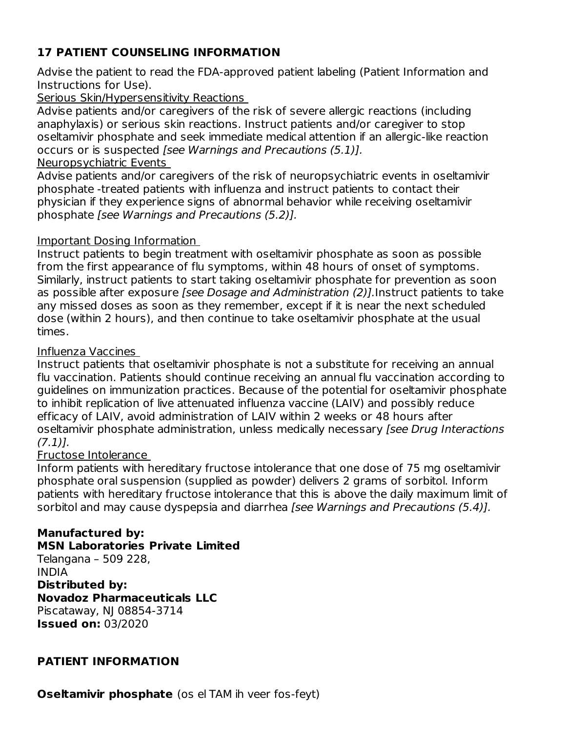## **17 PATIENT COUNSELING INFORMATION**

Advise the patient to read the FDA-approved patient labeling (Patient Information and Instructions for Use).

#### Serious Skin/Hypersensitivity Reactions

Advise patients and/or caregivers of the risk of severe allergic reactions (including anaphylaxis) or serious skin reactions. Instruct patients and/or caregiver to stop oseltamivir phosphate and seek immediate medical attention if an allergic-like reaction occurs or is suspected [see Warnings and Precautions (5.1)].

#### Neuropsychiatric Events

Advise patients and/or caregivers of the risk of neuropsychiatric events in oseltamivir phosphate -treated patients with influenza and instruct patients to contact their physician if they experience signs of abnormal behavior while receiving oseltamivir phosphate [see Warnings and Precautions (5.2)].

#### Important Dosing Information

Instruct patients to begin treatment with oseltamivir phosphate as soon as possible from the first appearance of flu symptoms, within 48 hours of onset of symptoms. Similarly, instruct patients to start taking oseltamivir phosphate for prevention as soon as possible after exposure [see Dosage and Administration (2)]. Instruct patients to take any missed doses as soon as they remember, except if it is near the next scheduled dose (within 2 hours), and then continue to take oseltamivir phosphate at the usual times.

#### Influenza Vaccines

Instruct patients that oseltamivir phosphate is not a substitute for receiving an annual flu vaccination. Patients should continue receiving an annual flu vaccination according to guidelines on immunization practices. Because of the potential for oseltamivir phosphate to inhibit replication of live attenuated influenza vaccine (LAIV) and possibly reduce efficacy of LAIV, avoid administration of LAIV within 2 weeks or 48 hours after oseltamivir phosphate administration, unless medically necessary [see Drug Interactions  $(7.1)$ ].

#### Fructose Intolerance

Inform patients with hereditary fructose intolerance that one dose of 75 mg oseltamivir phosphate oral suspension (supplied as powder) delivers 2 grams of sorbitol. Inform patients with hereditary fructose intolerance that this is above the daily maximum limit of sorbitol and may cause dyspepsia and diarrhea [see Warnings and Precautions (5.4)].

#### **Manufactured by:**

**MSN Laboratories Private Limited**

Telangana – 509 228, INDIA

#### **Distributed by:**

## **Novadoz Pharmaceuticals LLC**

Piscataway, NJ 08854-3714 **Issued on:** 03/2020

#### **PATIENT INFORMATION**

**Oseltamivir phosphate** (os el TAM ih veer fos-feyt)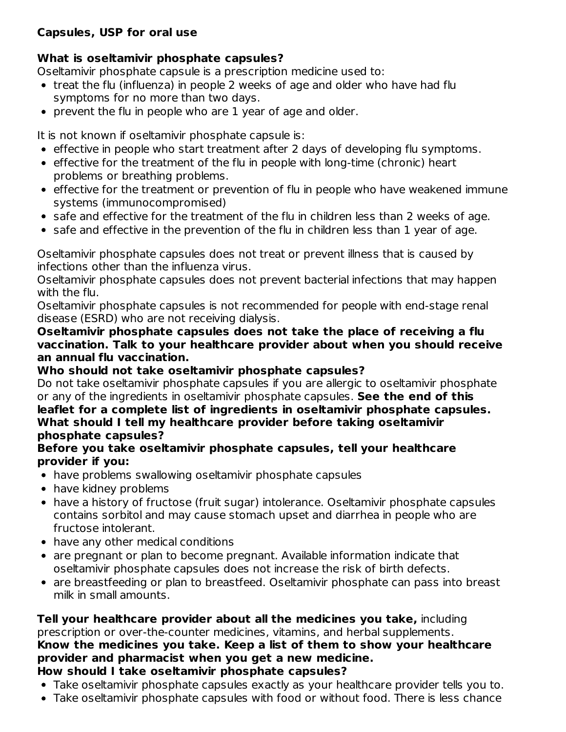## **Capsules, USP for oral use**

## **What is oseltamivir phosphate capsules?**

Oseltamivir phosphate capsule is a prescription medicine used to:

- treat the flu (influenza) in people 2 weeks of age and older who have had flu symptoms for no more than two days.
- prevent the flu in people who are 1 year of age and older.

It is not known if oseltamivir phosphate capsule is:

- effective in people who start treatment after 2 days of developing flu symptoms.
- effective for the treatment of the flu in people with long-time (chronic) heart problems or breathing problems.
- effective for the treatment or prevention of flu in people who have weakened immune systems (immunocompromised)
- safe and effective for the treatment of the flu in children less than 2 weeks of age.
- safe and effective in the prevention of the flu in children less than 1 year of age.

Oseltamivir phosphate capsules does not treat or prevent illness that is caused by infections other than the influenza virus.

Oseltamivir phosphate capsules does not prevent bacterial infections that may happen with the flu.

Oseltamivir phosphate capsules is not recommended for people with end-stage renal disease (ESRD) who are not receiving dialysis.

#### **Oseltamivir phosphate capsules does not take the place of receiving a flu vaccination. Talk to your healthcare provider about when you should receive an annual flu vaccination.**

## **Who should not take oseltamivir phosphate capsules?**

Do not take oseltamivir phosphate capsules if you are allergic to oseltamivir phosphate or any of the ingredients in oseltamivir phosphate capsules. **See the end of this leaflet for a complete list of ingredients in oseltamivir phosphate capsules. What should I tell my healthcare provider before taking oseltamivir phosphate capsules?**

#### **Before you take oseltamivir phosphate capsules, tell your healthcare provider if you:**

- have problems swallowing oseltamivir phosphate capsules
- have kidney problems
- have a history of fructose (fruit sugar) intolerance. Oseltamivir phosphate capsules contains sorbitol and may cause stomach upset and diarrhea in people who are fructose intolerant.
- have any other medical conditions
- are pregnant or plan to become pregnant. Available information indicate that oseltamivir phosphate capsules does not increase the risk of birth defects.
- are breastfeeding or plan to breastfeed. Oseltamivir phosphate can pass into breast milk in small amounts.

#### **Tell your healthcare provider about all the medicines you take,** including prescription or over-the-counter medicines, vitamins, and herbal supplements. **Know the medicines you take. Keep a list of them to show your healthcare provider and pharmacist when you get a new medicine. How should I take oseltamivir phosphate capsules?**

- 
- Take oseltamivir phosphate capsules exactly as your healthcare provider tells you to.
- Take oseltamivir phosphate capsules with food or without food. There is less chance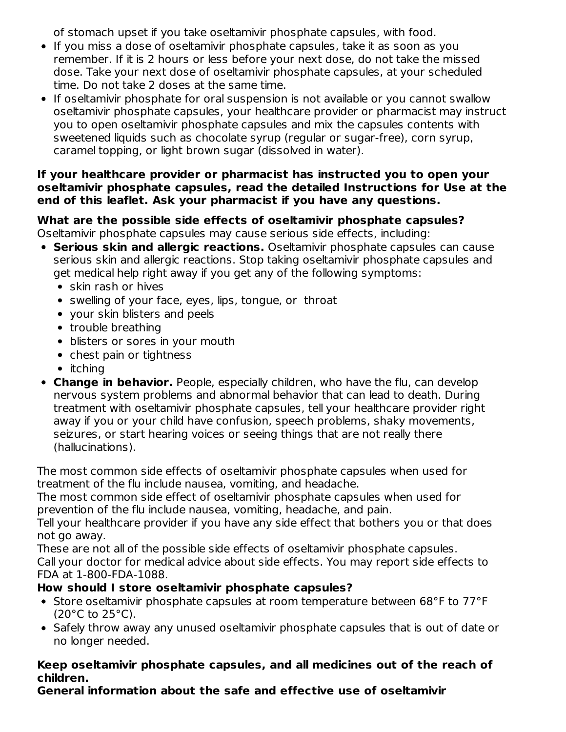of stomach upset if you take oseltamivir phosphate capsules, with food.

- If you miss a dose of oseltamivir phosphate capsules, take it as soon as you remember. If it is 2 hours or less before your next dose, do not take the missed dose. Take your next dose of oseltamivir phosphate capsules, at your scheduled time. Do not take 2 doses at the same time.
- If oseltamivir phosphate for oral suspension is not available or you cannot swallow oseltamivir phosphate capsules, your healthcare provider or pharmacist may instruct you to open oseltamivir phosphate capsules and mix the capsules contents with sweetened liquids such as chocolate syrup (regular or sugar-free), corn syrup, caramel topping, or light brown sugar (dissolved in water).

#### **If your healthcare provider or pharmacist has instructed you to open your oseltamivir phosphate capsules, read the detailed Instructions for Use at the end of this leaflet. Ask your pharmacist if you have any questions.**

## **What are the possible side effects of oseltamivir phosphate capsules?**

Oseltamivir phosphate capsules may cause serious side effects, including:

- **Serious skin and allergic reactions.** Oseltamivir phosphate capsules can cause serious skin and allergic reactions. Stop taking oseltamivir phosphate capsules and get medical help right away if you get any of the following symptoms:
	- skin rash or hives
	- swelling of your face, eyes, lips, tongue, or throat
	- your skin blisters and peels
	- trouble breathing
	- blisters or sores in your mouth
	- chest pain or tightness
	- $\bullet$  itching
- **Change in behavior.** People, especially children, who have the flu, can develop nervous system problems and abnormal behavior that can lead to death. During treatment with oseltamivir phosphate capsules, tell your healthcare provider right away if you or your child have confusion, speech problems, shaky movements, seizures, or start hearing voices or seeing things that are not really there (hallucinations).

The most common side effects of oseltamivir phosphate capsules when used for treatment of the flu include nausea, vomiting, and headache.

The most common side effect of oseltamivir phosphate capsules when used for prevention of the flu include nausea, vomiting, headache, and pain.

Tell your healthcare provider if you have any side effect that bothers you or that does not go away.

These are not all of the possible side effects of oseltamivir phosphate capsules. Call your doctor for medical advice about side effects. You may report side effects to FDA at 1-800-FDA-1088.

## **How should I store oseltamivir phosphate capsules?**

- Store oseltamivir phosphate capsules at room temperature between 68°F to 77°F  $(20^{\circ}$ C to  $25^{\circ}$ C).
- Safely throw away any unused oseltamivir phosphate capsules that is out of date or no longer needed.

### **Keep oseltamivir phosphate capsules, and all medicines out of the reach of children.**

**General information about the safe and effective use of oseltamivir**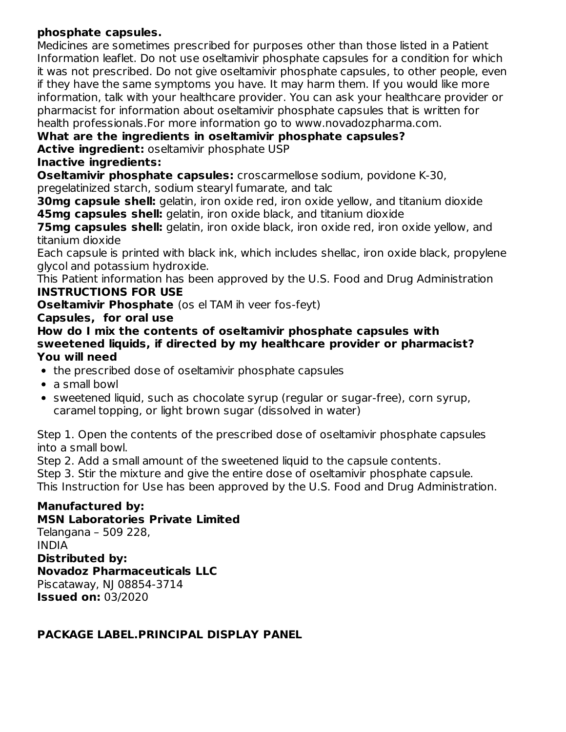### **phosphate capsules.**

Medicines are sometimes prescribed for purposes other than those listed in a Patient Information leaflet. Do not use oseltamivir phosphate capsules for a condition for which it was not prescribed. Do not give oseltamivir phosphate capsules, to other people, even if they have the same symptoms you have. It may harm them. If you would like more information, talk with your healthcare provider. You can ask your healthcare provider or pharmacist for information about oseltamivir phosphate capsules that is written for health professionals.For more information go to www.novadozpharma.com.

### **What are the ingredients in oseltamivir phosphate capsules?**

**Active ingredient:** oseltamivir phosphate USP

### **Inactive ingredients:**

**Oseltamivir phosphate capsules:** croscarmellose sodium, povidone K-30, pregelatinized starch, sodium stearyl fumarate, and talc

**30mg capsule shell:** gelatin, iron oxide red, iron oxide yellow, and titanium dioxide **45mg capsules shell:** gelatin, iron oxide black, and titanium dioxide

**75mg capsules shell:** gelatin, iron oxide black, iron oxide red, iron oxide yellow, and titanium dioxide

Each capsule is printed with black ink, which includes shellac, iron oxide black, propylene glycol and potassium hydroxide.

This Patient information has been approved by the U.S. Food and Drug Administration **INSTRUCTIONS FOR USE**

**Oseltamivir Phosphate** (os el TAM ih veer fos-feyt)

### **Capsules, for oral use**

**How do I mix the contents of oseltamivir phosphate capsules with sweetened liquids, if directed by my healthcare provider or pharmacist? You will need**

- the prescribed dose of oseltamivir phosphate capsules
- a small bowl
- sweetened liquid, such as chocolate syrup (regular or sugar-free), corn syrup, caramel topping, or light brown sugar (dissolved in water)

Step 1. Open the contents of the prescribed dose of oseltamivir phosphate capsules into a small bowl.

Step 2. Add a small amount of the sweetened liquid to the capsule contents.

Step 3. Stir the mixture and give the entire dose of oseltamivir phosphate capsule. This Instruction for Use has been approved by the U.S. Food and Drug Administration.

## **Manufactured by:**

#### **MSN Laboratories Private Limited**

Telangana – 509 228, INDIA **Distributed by: Novadoz Pharmaceuticals LLC** Piscataway, NJ 08854-3714 **Issued on:** 03/2020

## **PACKAGE LABEL.PRINCIPAL DISPLAY PANEL**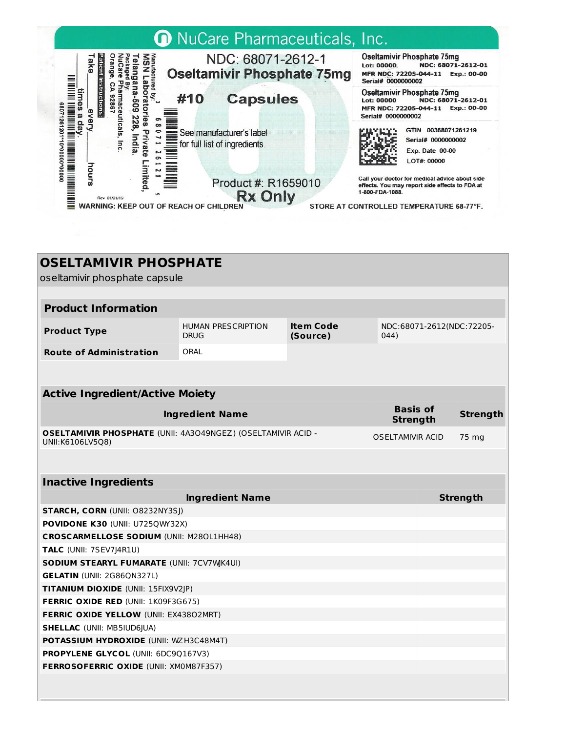

# **OSELTAMIVIR PHOSPHATE**

oseltamivir phosphate capsule

| <b>Product Information</b>     |                                          |                       |                                   |  |  |
|--------------------------------|------------------------------------------|-----------------------|-----------------------------------|--|--|
| <b>Product Type</b>            | <b>HUMAN PRESCRIPTION</b><br><b>DRUG</b> | Item Code<br>(Source) | NDC:68071-2612(NDC:72205-<br>044) |  |  |
| <b>Route of Administration</b> | ORAL                                     |                       |                                   |  |  |

| <b>Active Ingredient/Active Moiety</b>                                                  |                                    |          |  |  |
|-----------------------------------------------------------------------------------------|------------------------------------|----------|--|--|
| <b>Ingredient Name</b>                                                                  | <b>Basis of</b><br><b>Strength</b> | Strength |  |  |
| <b>OSELTAMIVIR PHOSPHATE (UNII: 4A3O49NGEZ) (OSELTAMIVIR ACID -</b><br>UNII:K6106LV5Q8) | <b>OSELTAMIVIR ACID</b>            | 75 mg    |  |  |

| <b>Inactive Ingredients</b>                      |          |  |  |  |
|--------------------------------------------------|----------|--|--|--|
| <b>Ingredient Name</b>                           | Strength |  |  |  |
| <b>STARCH, CORN (UNII: 08232NY3SI)</b>           |          |  |  |  |
| <b>POVIDONE K30 (UNII: U7250W32X)</b>            |          |  |  |  |
| <b>CROSCARMELLOSE SODIUM (UNII: M280L1HH48)</b>  |          |  |  |  |
| <b>TALC</b> (UNII: 7SEV7)4R1U)                   |          |  |  |  |
| <b>SODIUM STEARYL FUMARATE (UNII: 7CV7WK4UI)</b> |          |  |  |  |
| <b>GELATIN (UNII: 2G86ON327L)</b>                |          |  |  |  |
| <b>TITANIUM DIOXIDE (UNII: 15FIX9V2IP)</b>       |          |  |  |  |
| <b>FERRIC OXIDE RED (UNII: 1K09F3G675)</b>       |          |  |  |  |
| <b>FERRIC OXIDE YELLOW (UNII: EX43802MRT)</b>    |          |  |  |  |
| <b>SHELLAC (UNII: MB5IUD6IUA)</b>                |          |  |  |  |
| <b>POTASSIUM HYDROXIDE (UNII: WZH3C48M4T)</b>    |          |  |  |  |
| <b>PROPYLENE GLYCOL (UNII: 6DC9Q167V3)</b>       |          |  |  |  |
| <b>FERROSOFERRIC OXIDE (UNII: XM0M87F357)</b>    |          |  |  |  |
|                                                  |          |  |  |  |